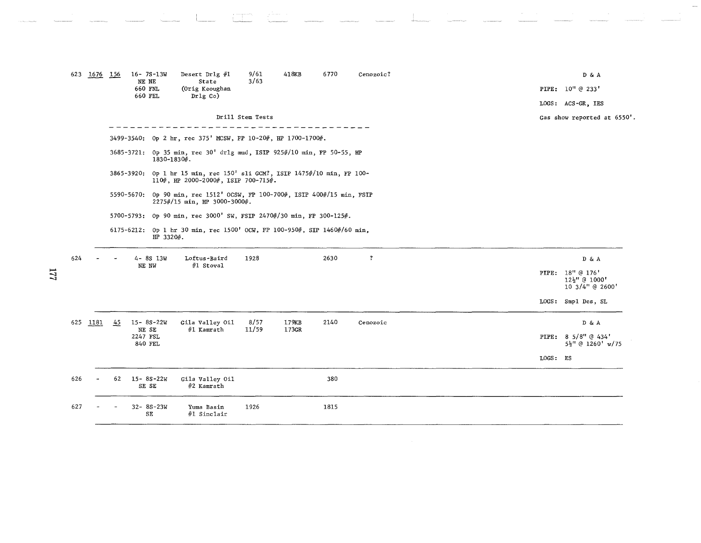| 623 | 1676     | 156 | $16 - 7S - 13W$<br>NE NE<br>660 FNL<br>660 FEL | Desert Drlg #1<br>State<br>(Orig Keoughan<br>$Dr1g$ Co)                                                         | 9/61<br>3/63     | 418KB          | 6770 | Cenozoic?    |                 | D & A<br>PIPE: 10" @ 233'<br>LOGS: ACS-GR, IES      |
|-----|----------|-----|------------------------------------------------|-----------------------------------------------------------------------------------------------------------------|------------------|----------------|------|--------------|-----------------|-----------------------------------------------------|
|     |          |     |                                                |                                                                                                                 | Drill Stem Tests |                |      |              |                 | Gas show reported at 6550'.                         |
|     |          |     |                                                | 3499-3540: Op 2 hr, rec 375' MCSW, FP 10-20#, HP 1700-1700#.                                                    |                  |                |      |              |                 |                                                     |
|     |          |     | 1830-1830#.                                    | 3685-3721: Op 35 min, rec 30' dr1g mud, ISIP 925#/10 min, FP 50-55, HP                                          |                  |                |      |              |                 |                                                     |
|     |          |     |                                                | 3865-3920: Op 1 hr 15 min, rec 150' sli GCM?, ISIP 1475#/10 min, FP 100-<br>110#, HP 2000-2000#, ISIP 700-715#. |                  |                |      |              |                 |                                                     |
|     |          |     |                                                | 5590-5670: Op 90 min, rec 1512' OCSW, FP 100-700#, ISIP 400#/15 min, FSIP<br>2275#/15 min, HP 3000-3000#.       |                  |                |      |              |                 |                                                     |
|     |          |     |                                                | 5700-5793: Op 90 min, rec 3000' SW, FSIP 2470#/30 min, FP 300-125#.                                             |                  |                |      |              |                 |                                                     |
|     |          |     | HP 3320#.                                      | 6175-6212: Op 1 hr 30 min, rec 1500' OCW, FP 100-950#, SIP 1460#/60 min,                                        |                  |                |      |              |                 |                                                     |
| 624 |          |     | $4 - 8S$ 13W                                   | Loftus-Baird                                                                                                    | 1928             |                | 2630 | $\mathbf{?}$ |                 | D & A                                               |
|     |          |     | NE NW                                          | #1 Stoval                                                                                                       |                  |                |      |              |                 | PIPE: 18" @ 176'<br>12}" @ 1000'<br>10 3/4" @ 2600' |
|     |          |     |                                                |                                                                                                                 |                  |                |      |              | $_{\rm LOGS}$ : | Smpl Des, SL                                        |
|     | 625 1181 | 45  | $15 - 8S - 22W$<br>NE SE                       | Gila Valley Oil<br>#1 Kamrath                                                                                   | 8/57<br>11/59    | 179KB<br>173GR | 2140 | Cenozoic     |                 | D & A                                               |
|     |          |     | 2247 FSL<br>840 FEL                            |                                                                                                                 |                  |                |      |              |                 | PIPE: 8 5/8" @ 434'<br>5 <sup>1</sup> @ 1260' w/75  |
|     |          |     |                                                |                                                                                                                 |                  |                |      |              | LOGS: ES        |                                                     |
| 626 |          | 62  | $15 - 8S - 22W$<br>SE SE                       | Gila Valley Oil<br>#2 Kamrath                                                                                   |                  |                | 380  |              |                 |                                                     |
| 627 |          |     | $32 - 85 - 23W$<br>SE                          | Yuma Basin<br>#1 Sinclair                                                                                       | 1926             |                | 1815 |              |                 |                                                     |

 $1/7$ 

 $\mathbb{R}^n$ 

 $\left\{ \begin{array}{c} \mathbf{w} & \text{trivial} \\ \vdots & \vdots \\ \mathbf{w} & \mathbf{w} \end{array} \right\}$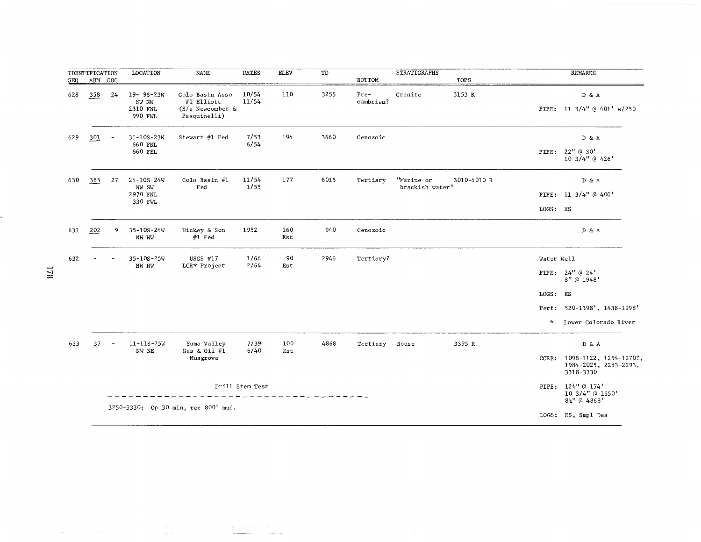| SEQ | <b>IDENTIFICATION</b><br>$\begin{tabular}{ll} ABM & OGC \end{tabular}$ |                | <b>LOCATION</b>                                  | NAME                                                                | <b>DATES</b>    | <b>ELEV</b> | TD   | BOTTOM              | <b>STRATIGRAPHY</b>           | TOPS        |               | <b>REMARKS</b>                                               |
|-----|------------------------------------------------------------------------|----------------|--------------------------------------------------|---------------------------------------------------------------------|-----------------|-------------|------|---------------------|-------------------------------|-------------|---------------|--------------------------------------------------------------|
| 628 | 358                                                                    | 24             | 19-9S-23W<br>SW NW<br>2310 FNL<br>990 FWL        | Colo Basin Asso<br>#1 Elliott<br>$(S/a$ Newcomber &<br>Pasquinelli) | 10/54<br>11/54  | 110         | 3255 | $Pre-$<br>cambrian? | Granite                       | 3153 R      |               | D & A<br>PIPE: 11 3/4" @ 401' w/250                          |
| 629 | 301                                                                    |                | $31 - 10S - 23W$<br>660 FNL<br>660 FEL           | Stewart #1 Fed                                                      | 7/53<br>6/54    | 194         | 3660 | Cenozoic            |                               |             |               | D & A<br>PIPE: 22" @ 30'<br>10 3/4" @ 426'                   |
| 630 | 385                                                                    | 27             | $24 - 10S - 24W$<br>NW SW<br>2970 FNL<br>330 FWL | Colo Basin #1<br>Fed                                                | 11/54<br>1/55   | 177         | 6015 | Tertiary            | "Marine or<br>brackish water" | 3010-4010 R | LOGS: ES      | D & A<br>PIPE: 11 3/4" @ 400'                                |
| 631 | 202                                                                    | 9              | $35 - 10S - 24W$<br>NW NW                        | Hickey & Son<br>$#1$ Fed                                            | 1952            | 160<br>Est  | 940  | Cenozoic            |                               |             |               | D & A                                                        |
| 632 |                                                                        |                | $35 - 10S - 25W$                                 | USGS $#17$                                                          | 1/64            | 90          | 2946 | Tertiary?           |                               |             | Water Well    |                                                              |
|     |                                                                        |                | NW NW                                            | LCR* Project                                                        | 2/64            | Est         |      |                     |                               |             |               | PIPE: $24" @ 24"$<br>8" @ 1948'                              |
|     |                                                                        |                |                                                  |                                                                     |                 |             |      |                     |                               |             | LOGS:         | ES                                                           |
|     |                                                                        |                |                                                  |                                                                     |                 |             |      |                     |                               |             |               | Perf: 520-1398', 1438-1998'                                  |
|     |                                                                        |                |                                                  |                                                                     |                 |             |      |                     |                               |             | $\mathcal{H}$ | Lower Colorado River                                         |
| 633 | $\frac{37}{2}$                                                         | $\overline{a}$ | $11 - 11S - 25W$<br>NW NE                        | Yuma Valley<br>Gas & Oil $#1$                                       | 7/39<br>6/40    | 100<br>Est  | 4868 | Tertiary            | Bouse                         | 3395 R      |               | D & A                                                        |
|     |                                                                        |                |                                                  | Musgrove                                                            |                 |             |      |                     |                               |             | $CORE$ :      | 1098-1122, 1254-1270?,<br>1984-2025, 2283-2293,<br>3318-3330 |
|     |                                                                        |                |                                                  |                                                                     | Drill Stem Test |             |      |                     |                               |             | PIPE:         | $12\frac{1}{2}$ " @ 174'<br>10 3/4" @ 1650'<br>8封 @ 4868'    |
|     |                                                                        |                |                                                  | 3250-3330: Op 30 min, rec 800' mud.                                 |                 |             |      |                     |                               |             | LOGS:         | ES, Smpl Des                                                 |

 $\label{eq:2} \begin{array}{c} \mathcal{L}^{(1)}(\mathbb{R}^{n\times n}) \longrightarrow \mathcal{L}^{(1)}(\mathbb{R}^{n\times n}) \end{array}$ 

 $\label{eq:1} \frac{1}{\sqrt{2}}\int_{0}^{1} \frac{1}{\sqrt{2}}\left(\frac{1}{\sqrt{2}}\right)^{2} \left(\frac{1}{\sqrt{2}}\right)^{2} \left(\frac{1}{\sqrt{2}}\right)^{2} \left(\frac{1}{\sqrt{2}}\right)^{2} \left(\frac{1}{\sqrt{2}}\right)^{2} \left(\frac{1}{\sqrt{2}}\right)^{2} \left(\frac{1}{\sqrt{2}}\right)^{2} \left(\frac{1}{\sqrt{2}}\right)^{2} \left(\frac{1}{\sqrt{2}}\right)^{2} \left(\frac{1}{\sqrt{2}}\right)^{2} \left(\frac{$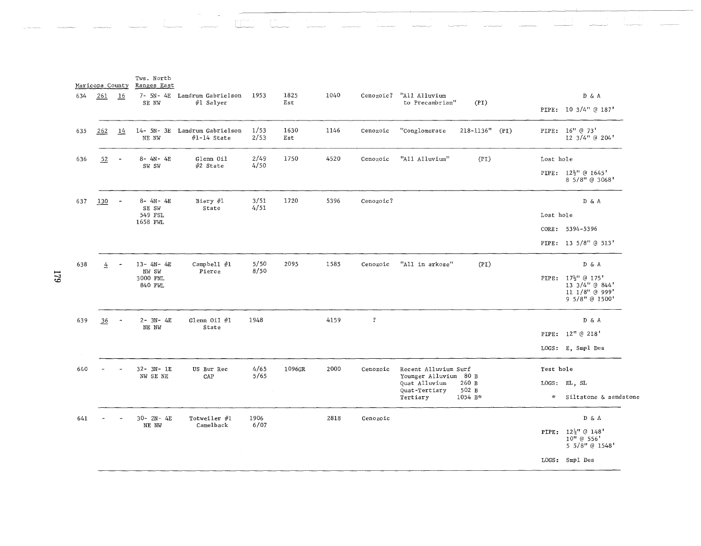|     | Maricopa County |                | Tws. North<br>Ranges East |                                                |              |             |      |                |                                                 |                |               |                                                                                              |
|-----|-----------------|----------------|---------------------------|------------------------------------------------|--------------|-------------|------|----------------|-------------------------------------------------|----------------|---------------|----------------------------------------------------------------------------------------------|
| 634 | 261             | 16             | SE NW                     | 7- 5N- 4E Landrum Gabrielson<br>#1 Salyer      | 1953         | 1825<br>Est | 1040 | Cenozoic?      | "All Alluvium<br>to Precambrian"                | (PI)           |               | D & A<br>PIPE: 10 3/4" @ 187'                                                                |
| 635 | 262             | 14             | NE NW                     | 14- 5N- 3E Landrum Gabrielson<br>$#1-14$ State | 1/53<br>2/53 | 1630<br>Est | 1146 | Cenozoic       | "Conglomerate                                   | 218-1136" (PI) |               | PIPE: 16" @ 73'<br>12 3/4" @ 204'                                                            |
| 636 | 52              | $\overline{a}$ | $8 - 4N - 4E$<br>SW SW    | Glenn Oil<br>$#2$ State                        | 2/49<br>4/50 | 1750        | 4520 | Cenozoic       | "All Alluvium"                                  | (PI)           | Lost hole     |                                                                                              |
|     |                 |                |                           |                                                |              |             |      |                |                                                 |                |               | PIPE: $12\frac{1}{2}$ <sup>1</sup> @ 1645 <sup>1</sup><br>8 5/8" @ 3068'                     |
| 637 | 130             |                | $8 - 4N - 4E$<br>SE SW    | Biery $#1$<br>State                            | 3/51<br>4/51 | 1720        | 5396 | Cenozoic?      |                                                 |                |               | D & A                                                                                        |
|     |                 |                | 549 FSL<br>1658 FWL       |                                                |              |             |      |                |                                                 |                | Lost hole     |                                                                                              |
|     |                 |                |                           |                                                |              |             |      |                |                                                 |                |               | CORE: 5394-5396                                                                              |
|     |                 |                |                           |                                                |              |             |      |                |                                                 |                |               | PIPE: 13 5/8" @ 513'                                                                         |
| 638 | 4               |                | $13 - 4N - 4E$<br>NW SW   | Campbell #1<br>Pierce                          | 5/50<br>8/50 | 2095        | 1585 | Cenozoic       | "All in arkose"                                 | (PI)           |               | D & A                                                                                        |
|     |                 |                | 3000 FNL<br>840 FWL       |                                                |              |             |      |                |                                                 |                |               | PIPE: 17 <sup>1</sup> @ 175'<br>13 3/4" @ 844'<br>11 1/8" @ 999'<br>9 5/8" @ 1500'           |
| 639 | 36              | $\blacksquare$ | $2 - 3N - 4E$<br>NE NW    | Glenn Oil $#1$<br>State                        | 1948         |             | 4159 | $\overline{?}$ |                                                 |                |               | D & A                                                                                        |
|     |                 |                |                           |                                                |              |             |      |                |                                                 |                |               | PIPE: 12" @ 218'                                                                             |
|     |                 |                |                           |                                                |              |             |      |                |                                                 |                |               | LOGS: E, Smpl Des                                                                            |
| 640 |                 |                | $32 - 3N - 1E$            | US Bur Rec                                     | 4/65         | 1096GR      | 2000 | Cenozoic       | Recent Alluvium Surf                            |                | Test hole     |                                                                                              |
|     |                 |                | NW SE NE                  | CAP                                            | 5/65         |             |      |                | Younger Alluvium 80 B<br>Quat Alluvium<br>260 B |                |               | LOGS: EL, SL                                                                                 |
|     |                 |                |                           |                                                |              |             |      |                | Quat-Tertiary<br>502 B<br>Tertiary<br>1054 B*   |                | $\mathcal{H}$ | Siltstone & sandstone                                                                        |
| 641 |                 |                | $30 - 2N - 4E$            | Totweiler #1                                   | 1906         |             | 2818 | Cenozoic       |                                                 |                |               | DδA                                                                                          |
|     |                 |                | NE NW                     | Camelback                                      | 6/07         |             |      |                |                                                 |                |               | PIPE: 12 <sup>1</sup> / <sub>2</sub> (d) 148 <sup>'</sup><br>$10''$ @ 556'<br>5 5/8" @ 1548' |
|     |                 |                |                           |                                                |              |             |      |                |                                                 |                |               | LOGS: Smpl Des                                                                               |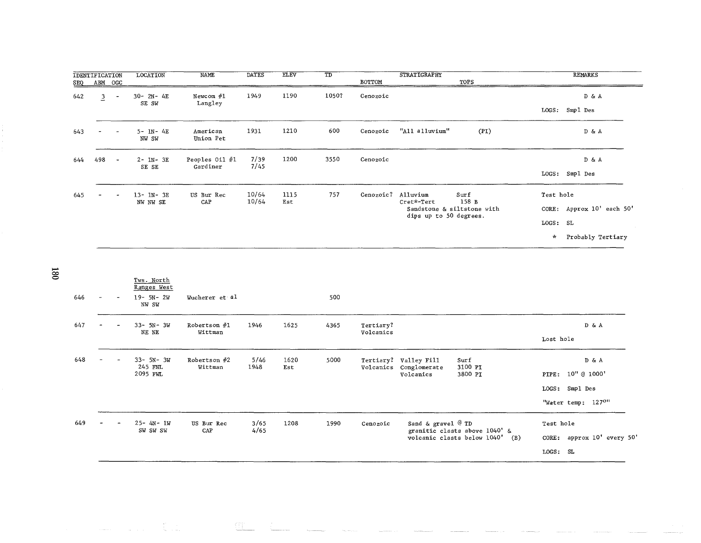| <u>SEQ</u> | IDENTIFICATION<br>ABM OGC |                          | LOCATION                   | <b>NAME</b>                | <b>DATES</b>   | <b>ELEV</b> | TD    | BOTTOM    | <b>STRATIGRAPHY</b><br>TOPS                                                                     | <b>REMARKS</b>                                                                     |
|------------|---------------------------|--------------------------|----------------------------|----------------------------|----------------|-------------|-------|-----------|-------------------------------------------------------------------------------------------------|------------------------------------------------------------------------------------|
| 642        | 3<br>∸                    | $\overline{\phantom{a}}$ | 30-2N-4E<br>SE SW          | Newcom $#1$<br>Langley     | 1949           | 1190        | 1050? | Cenozoic  |                                                                                                 | D & A<br>Smpl Des<br>LOGS:                                                         |
| 643        |                           |                          | $5 - 1N - 4E$<br>NW SW     | American<br>Union Pet      | 1931           | 1210        | 600   | Cenozoic  | "All alluvium"<br>(PI)                                                                          | DδA                                                                                |
| 644        | 498                       | $\overline{\phantom{a}}$ | $2 - 1N - 3E$<br>SE SE     | Peoples Oil #1<br>Gardiner | 7/39<br>7/45   | 1200        | 3550  | Cenozoic  |                                                                                                 | D & A<br>LOGS: Smpl Des                                                            |
| 645        |                           |                          | $13 - 1N - 3E$<br>NW NW SE | US Bur Rec<br>CAP          | 10/64<br>10/64 | 1115<br>Est | 757   | Cenozoic? | Alluvium<br>Surf<br>158 B<br>Cret*-Tert<br>Sandstone & siltstone with<br>dips up to 50 degrees. | Test hole<br>CORE: Approx 10' each 50'<br>LOGS: SL<br>Probably Tertiary<br>$\star$ |

 $\frac{180}{1}$ 

| 646 | ۰. | $\overline{\phantom{a}}$ | Tws. North<br>Ranges West<br>$19 - 5N - 2W$<br>NW SW | Wucherer et al            |              |             | 500  |                        |                                                              |                                                                     |                                                           |                           |
|-----|----|--------------------------|------------------------------------------------------|---------------------------|--------------|-------------|------|------------------------|--------------------------------------------------------------|---------------------------------------------------------------------|-----------------------------------------------------------|---------------------------|
| 647 |    |                          | $33 - 5N - 3W$<br>NE NE                              | Robertson $#1$<br>Wittman | 1946         | 1625        | 4365 | Tertiary?<br>Volcanics |                                                              |                                                                     | Lost hole                                                 | D & A                     |
| 648 |    |                          | $33 - 5N - 3W$<br>245 FNL<br>2095 FWL                | Robertson $#2$<br>Wittman | 5/46<br>1948 | 1620<br>Est | 5000 |                        | Tertiary? Valley Fill<br>Volcanics Conglomerate<br>Volcanics | Surf<br>3100 PI<br>3800 PI                                          | PIPE: 10" @ 1000'<br>LOGS: Smpl Des<br>"Water temp: 1270" | D & A                     |
| 649 |    |                          | 25-4N-1W<br>SW SW SW                                 | US Bur Rec<br>CAP         | 3/65<br>4/65 | 1208        | 1990 | Cenozoic               | Sand & gravel $@$ TD                                         | granitic clasts above 1040' &<br>volcanic clasts below 1040'<br>(B) | Test hole<br>LOGS: SL                                     | CORE: approx 10' every 50 |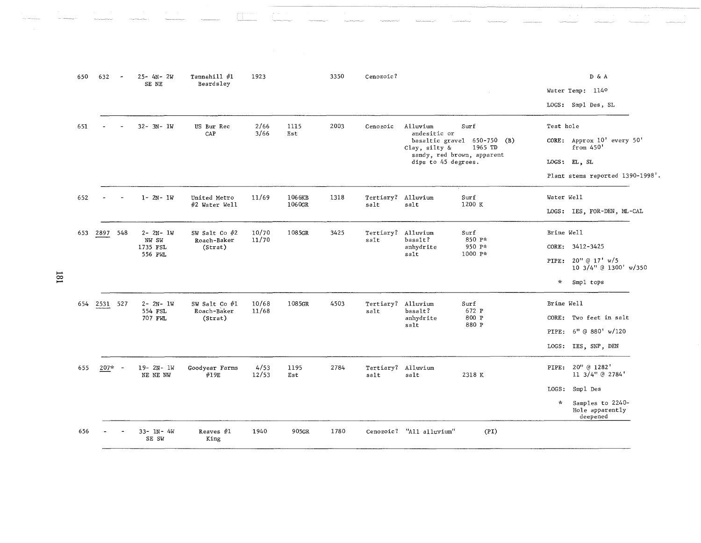|   | 650 | 632      | $25 - 4N - 2W$<br>SE NE    | Tannehill #1<br>Beardsley | 1923          |             | 3350 | Cenozoic?                  |                          |                                                                      |            | D & A<br>Water Temp: 1140<br>LOGS: Smp1 Des, SL |
|---|-----|----------|----------------------------|---------------------------|---------------|-------------|------|----------------------------|--------------------------|----------------------------------------------------------------------|------------|-------------------------------------------------|
|   | 651 |          | $32 - 3N - 1W$             | US Bur Rec<br>CAP         | 2/66<br>3/66  | 1115<br>Est | 2003 | Cenozoic                   | Alluvium<br>andesitic or | Surf                                                                 | Test hole  |                                                 |
|   |     |          |                            |                           |               |             |      |                            | Clay, silty &            | basaltic gravel 650-750 (B)<br>1965 TD<br>sandy, red brown, apparent |            | CORE: Approx 10' every 50'<br>from 450'         |
|   |     |          |                            |                           |               |             |      |                            | dips to 45 degrees.      |                                                                      |            | LOGS: EL, SL                                    |
|   |     |          |                            |                           |               |             |      |                            |                          |                                                                      |            | Plant stems reported 1390-1998'                 |
|   | 652 |          | $1 - 2N - 1W$              | United Metro              | 11/69         | 1066KB      | 1318 | Tertiary? Alluvium         |                          | Surf                                                                 | Water Well |                                                 |
|   |     |          |                            | #2 Water Well             |               | 1060GR      |      | salt                       | salt                     | 1200 K                                                               |            | LOGS: IES, FOR-DEN, ML-CAL                      |
|   | 653 | 2897 548 | $2 - 2N - 1W$              | SW Salt Co #2             | 10/70         | 1085GR      | 3425 | Tertiary? Alluvium         |                          | Surf                                                                 | Brine Well |                                                 |
|   |     |          | NW SW<br>1735 FSL          | Roach-Baker<br>(Strat)    | 11/70         |             |      | salt                       | basalt?<br>anhydrite     | 850 P*<br>950 P*                                                     |            | CORE: 3412-3425                                 |
|   |     |          | 556 FWL                    |                           |               |             |      |                            | salt                     | 1000 P*                                                              | PIPE:      | 20'' (d 17' w/5)<br>10 3/4" @ 1300' w/350       |
| ≊ |     |          |                            |                           |               |             |      |                            |                          |                                                                      | $\star$    | Smpl tops                                       |
|   | 654 | 2531 527 | $2 - 2N - 1W$              | SW Salt Co #1             | 10/68         | 1085GR      | 4503 | Tertiary? Alluvium         |                          | Surf                                                                 | Brine Well |                                                 |
|   |     |          | 554 FSL<br>707 FWL         | Roach-Baker<br>(Strat)    | 11/68         |             |      | salt                       | basalt?<br>anhydrite     | 672 P<br>800 P                                                       | CORE:      | Two feet in salt                                |
|   |     |          |                            |                           |               |             |      |                            | salt                     | 880 P                                                                | PIPE:      | 6" @ 880' w/120                                 |
|   |     |          |                            |                           |               |             |      |                            |                          |                                                                      |            | LOGS: IES, SNP, DEN                             |
|   | 655 | 207*     | $19 - 2N - 1W$<br>NE NE NW | Goodyear Farms<br>#19E    | 4/53<br>12/53 | 1195<br>Est | 2784 | Tertiary? Alluvium<br>salt | sat                      | 2318 K                                                               |            | PIPE: 20" @ 1282'<br>11 3/4" @ 2784'            |
|   |     |          |                            |                           |               |             |      |                            |                          |                                                                      | LOGS:      | Smpl Des                                        |
|   |     |          |                            |                           |               |             |      |                            |                          |                                                                      | $\star$    | Samples to 2240-<br>Hole apparently<br>deepened |
|   | 656 |          | 33- 1N- 4W<br>SE SW        | Reaves $#1$<br>King       | 1940          | 905GR       | 1780 |                            | Cenozoic? "All alluvium" | (PI)                                                                 |            |                                                 |

 $\hat{a}$ 

 $\label{eq:optimal} \mathcal{L}_{\text{MSE}}(\mathbf{X}) = \mathcal{L}_{\text{MSE}}(\mathbf{X}|\mathbf{X}) + \mathcal{L}_{\text{MSE}}(\mathbf{X}|\mathbf{X}) + \mathcal{L}_{\text{MSE}}(\mathbf{X}|\mathbf{X})$ 

**Contractor** 

 $181$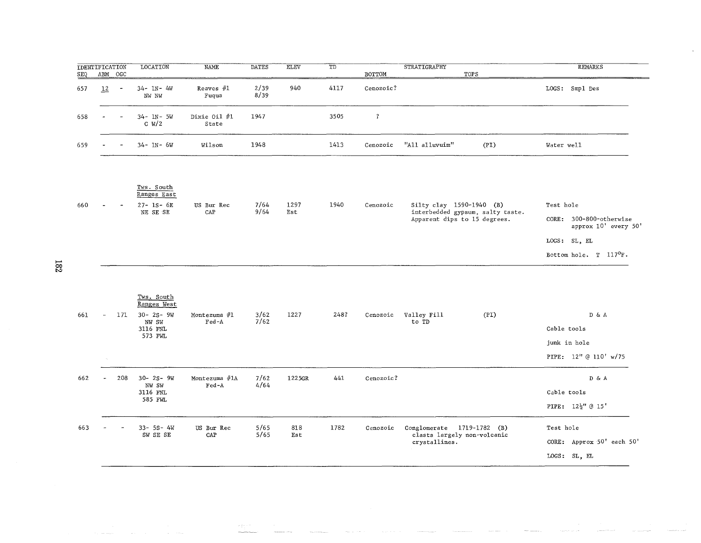| IDENTIFICATION |                          |                          | LOCATION                | NAME                  | DATES        | <b>ELEV</b> | TD   |           | STRATIGRAPHY   |      | REMARKS        |
|----------------|--------------------------|--------------------------|-------------------------|-----------------------|--------------|-------------|------|-----------|----------------|------|----------------|
| <u>SEQ</u>     | ABM OGC                  |                          |                         |                       |              |             |      | BOTTOM    |                | TOPS |                |
| 657            | $\overline{12}$          | $\overline{\phantom{a}}$ | $34 - 1N - 4W$<br>NW NW | Reaves $#1$<br>Fuqua  | 2/39<br>8/39 | 940         | 4117 | Cenozoic? |                |      | LOGS: Smp1 Des |
| 658            |                          | $\sim$                   | 34- IN- 5W<br>C W/2     | Dixie Oil #1<br>State | 1947         |             | 3505 |           |                |      |                |
| 659            | $\overline{\phantom{0}}$ | $\overline{\phantom{0}}$ | $34 - 1N - 6W$          | Wilson                | 1948         |             | 1413 | Cenozoic  | "All alluvuim" | (PI) | Water well     |
|                |                          |                          |                         |                       |              |             |      |           |                |      |                |

 $\bar{\mathbf{z}}$ 

|     |        |                          | Tws. South<br>Ranges East |            |              |      |      |          |                                                                  |                   |                                           |
|-----|--------|--------------------------|---------------------------|------------|--------------|------|------|----------|------------------------------------------------------------------|-------------------|-------------------------------------------|
| 660 | $\sim$ | $\overline{\phantom{a}}$ | $27 - 1S - 6E$            | US Bur Rec | 7/64<br>9/64 | 1297 | 1940 | Cenozoic | Silty clay 1590-1940 (B)                                         | Test hole         |                                           |
|     |        |                          | NE SE SE                  | CAP        |              | Est  |      |          | interbedded gypsum, salty taste.<br>Apparent dips to 15 degrees. | $\mathtt{CORE}$ : | 300-800-otherwise<br>approx 10' every 50' |
|     |        |                          |                           |            |              |      |      |          |                                                                  |                   | LOGS: SL, EL                              |
|     |        |                          |                           |            |              |      |      |          |                                                                  |                   | Bottom hole. T 117 <sup>o</sup> F.        |

**182** 

|     |          |     | Tws. South<br>Ranges West           |                        |              |            |      |           |                            |                             |              |                                              |
|-----|----------|-----|-------------------------------------|------------------------|--------------|------------|------|-----------|----------------------------|-----------------------------|--------------|----------------------------------------------|
| 661 | $\sim$   | 171 | $30 - 25 - 9W$<br>NW SW<br>3116 FNL | Montezuma #1<br>Fed-A  | 3/62<br>7/62 | 1227       | 248? | Cenozoic  | Valley Fill<br>to TD       | (PI)                        | Cable tools  | DδA                                          |
|     |          |     | 573 FWL                             |                        |              |            |      |           |                            |                             |              |                                              |
|     |          |     |                                     |                        |              |            |      |           |                            |                             | junk in hole |                                              |
|     | $\alpha$ |     |                                     |                        |              |            |      |           |                            |                             |              | PIPE: 12" @ 110' w/75                        |
| 662 | ÷.       | 208 | $30 - 25 - 9W$<br>NW SW             | Montezuma #1A<br>Fed-A | 7/62<br>4/64 | 1225GR     | 441  | Cenozoic? |                            |                             |              | D & A                                        |
|     |          |     | 3116 FNL                            |                        |              |            |      |           |                            |                             | Cable tools  |                                              |
|     |          |     | 585 FWL                             |                        |              |            |      |           |                            |                             |              | PIPE: 12 <sup>1</sup> / <sub>2</sub> " @ 15' |
| 663 |          |     | 33- 5S- 4W<br>SW SE SE              | US Bur Rec<br>CAP      | 5/65<br>5/65 | 818<br>Est | 1782 | Cenozoic  | Conglomerate 1719-1782 (B) | clasts largely non-volcanic | Test hole    |                                              |
|     |          |     |                                     |                        |              |            |      |           | crystallines.              |                             |              | CORE: Approx 50' each 50'                    |
|     |          |     |                                     |                        |              |            |      |           |                            |                             | LOGS: SL, EL |                                              |
|     |          |     |                                     |                        |              |            |      |           |                            |                             |              |                                              |

 $\sigma$  pair  $\sigma$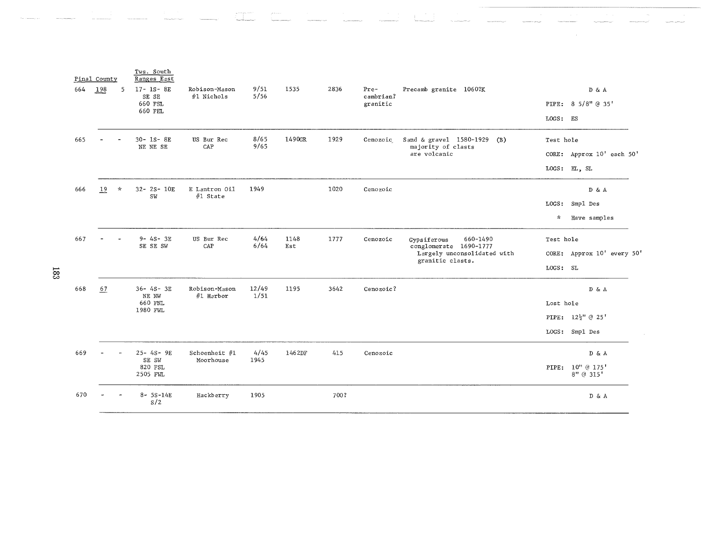|       |     | Pinal County |               | Tws. South<br>Ranges East                      |                             |               |             |      |                                 |                                                                                                      |                       |                                                                                     |
|-------|-----|--------------|---------------|------------------------------------------------|-----------------------------|---------------|-------------|------|---------------------------------|------------------------------------------------------------------------------------------------------|-----------------------|-------------------------------------------------------------------------------------|
|       | 664 | 198          | -5            | $17 - 1S - 8E$<br>SE SE<br>660 FSL<br>660 FEL  | Robison-Mason<br>#1 Nichols | 9/51<br>5/56  | 1535        | 2836 | $Pre-$<br>cambrian?<br>granitic | Precamb granite 1060?K                                                                               | LOGS: ES              | D & A<br>PIPE: 8 5/8" @ 35"                                                         |
|       | 665 |              |               | 30-1S-8E<br>NE NE SE                           | US Bur Rec<br>CAP           | 8/65<br>9/65  | 1490GR      | 1929 | Cenozoic                        | Sand & gravel 1580-1929<br>(B)<br>majority of clasts<br>are volcanic                                 | Test hole             | CORE: Approx 10' each 50'<br>LOGS: EL, SL                                           |
| ន្ទ្រ | 666 | 19           | $\mathcal{R}$ | 32- 2S- 10E<br>SW                              | E Lantron 011<br>#1 State   | 1949          |             | 1020 | Cenozoic                        |                                                                                                      | $\mathcal{H}$         | D & A<br>LOGS: Smp1 Des<br>Have samples                                             |
|       | 667 |              |               | $9 - 4S - 3E$<br>SE SE SW                      | US Bur Rec<br>CAP           | 4/64<br>6/64  | 1148<br>Est | 1777 | Cenozoic                        | 660-1490<br>Gypsiferous<br>conglomerate 1690-1777<br>Largely unconsolidated with<br>granitic clasts. | Test hole<br>LOGS: SL | CORE: Approx 10' every 50                                                           |
|       | 668 | 67           |               | $36 - 4S - 3E$<br>NE NW<br>660 FNL<br>1980 FWL | Robison-Mason<br>#1 Harbor  | 12/49<br>1/51 | 1195        | 3642 | Cenozoic?                       |                                                                                                      | Lost hole             | $\mathbb{D} \ \& \ \mathbb{A}$<br>PIPE: 12 <sup>1</sup> /2" @ 25'<br>LOGS: Smp1 Des |
|       | 669 |              |               | $25 - 4S - 9E$<br>SE SW<br>820 FSL<br>2505 FWL | Schoenheit #1<br>Moorhouse  | 4/45<br>1945  | 1462DF      | 415  | Cenozoic                        |                                                                                                      |                       | DδA<br>PIPE: 10" @ 175'<br>8" @ 315'                                                |
|       | 670 |              |               | $8 - 5S - 14E$<br>S/2                          | Hackberry                   | 1905          |             | 700? |                                 |                                                                                                      |                       | D & A                                                                               |
|       |     |              |               |                                                |                             |               |             |      |                                 |                                                                                                      |                       |                                                                                     |

**183**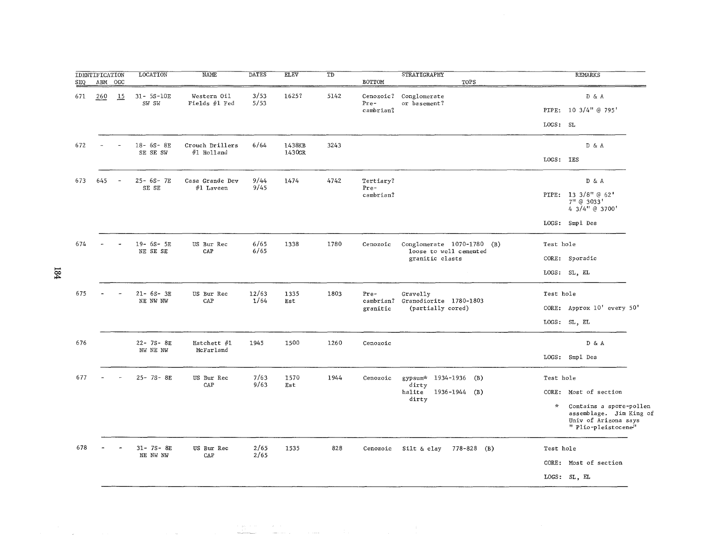| <b>SEQ</b> | <b>IDENTIFICATION</b><br>ABM OGC |                          | <b>LOCATION</b>          | <b>NAME</b>                    | <b>DATES</b> | <b>ELEV</b>      | $\overline{\texttt{TD}}$ | <b>BOTTOM</b>                  | <b>STRATIGRAPHY</b><br>TOPS                                             |           | <b>REMARKS</b>                                                                                    |
|------------|----------------------------------|--------------------------|--------------------------|--------------------------------|--------------|------------------|--------------------------|--------------------------------|-------------------------------------------------------------------------|-----------|---------------------------------------------------------------------------------------------------|
| 671        | 260                              | 15                       | $31 - 5S - 10E$<br>SW SW | Western Oil<br>Fields #1 Fed   | 3/53<br>5/53 | 1625?            | 5142                     | Pre-<br>cambrian?              | Cenozoic? Conglomerate<br>or basement?                                  |           | D & A<br>PIPE: 10 3/4" @ 795'                                                                     |
|            |                                  |                          |                          |                                |              |                  |                          |                                |                                                                         | LOGS: SL  |                                                                                                   |
| 672        |                                  |                          | 18- 6S- 8E<br>SE SE SW   | Crouch Drillers<br>#1 Holland  | 6/64         | 1438KB<br>1430GR | 3243                     |                                |                                                                         | LOGS: IES | D & A                                                                                             |
| 673        | 645                              | $\overline{\phantom{0}}$ | 25- 6S- 7E<br>SE SE      | Casa Grande Dev<br>$#1$ Laveen | 9/44<br>9/45 | 1474             | 4742                     | Tertiary?<br>Pre-<br>cambrian? |                                                                         |           | D & A<br>PIPE: 13 3/8" @ 62'                                                                      |
|            |                                  |                          |                          |                                |              |                  |                          |                                |                                                                         |           | 7" @ 3033'<br>4 3/4" @ 3700'<br>LOGS: Smpl Des                                                    |
| 674        |                                  |                          | 19- 6S- 5E<br>NE SE SE   | US Bur Rec<br>CAP              | 6/65<br>6/65 | 1338             | 1780                     | Cenozoic                       | Conglomerate 1070-1780 (B)<br>loose to well cemented<br>granitic clasts | Test hole | CORE: Sporadic                                                                                    |
|            |                                  |                          |                          |                                |              |                  |                          |                                |                                                                         |           | LOGS: SL, EL                                                                                      |
| 675        |                                  |                          | $21 - 6S - 3E$           | US Bur Rec                     | 12/63        | 1335             | 1803                     | Pre-                           | Gravelly                                                                | Test hole |                                                                                                   |
|            |                                  |                          | NE NW NW                 | CAP                            | 1/64         | Est              |                          | cambrian?<br>granitic          | Granodiorite 1780-1803<br>(partially cored)                             |           | CORE: Approx 10' every 50'                                                                        |
|            |                                  |                          |                          |                                |              |                  |                          |                                |                                                                         |           | LOGS: SL, EL                                                                                      |
| 676        |                                  |                          | 22-75-8E<br>NW NE NW     | Hatchett #1<br>McFarland       | 1945         | 1500             | 1260                     | Cenozoic                       |                                                                         |           | D & A                                                                                             |
|            |                                  |                          |                          |                                |              |                  |                          |                                |                                                                         |           | LOGS: Smpl Des                                                                                    |
| 677        |                                  |                          | 25-7S-8E                 | US Bur Rec<br>CAP              | 7/63<br>9/63 | 1570<br>Est      | 1944                     | Cenozoic                       | gypsum* 1934-1936 (B)                                                   | Test hole |                                                                                                   |
|            |                                  |                          |                          |                                |              |                  |                          |                                | dirty<br>halite<br>1936-1944 (B)<br>dirty                               |           | CORE: Most of section                                                                             |
|            |                                  |                          |                          |                                |              |                  |                          |                                |                                                                         | $\star$   | Contains a spore-pollen<br>assemblage. Jim King of<br>Univ of Arizona says<br>" Plio-pleistocene" |
| 678        |                                  |                          | 31- 7S- 8E               | US Bur Rec                     | 2/65         | 1535             | 828                      | Cenozoic                       | 778-828 (B)<br>Silt & clay                                              | Test hole |                                                                                                   |
|            |                                  |                          | NE NW NW                 | CAP                            | 2/65         |                  |                          |                                |                                                                         |           | CORE: Most of section                                                                             |
|            |                                  |                          |                          |                                |              |                  |                          |                                |                                                                         |           | LOGS: SL, EL                                                                                      |

 $\label{eq:1} \frac{1}{2} \int_{\mathbb{R}^3} \left| \frac{d\mu}{d\mu} \right|^2 \, d\mu = \frac{1}{2} \int_{\mathbb{R}^3} \left| \frac{d\mu}{d\mu} \right|^2 \, d\mu = \frac{1}{2} \int_{\mathbb{R}^3} \left| \frac{d\mu}{d\mu} \right|^2 \, d\mu = \frac{1}{2} \int_{\mathbb{R}^3} \left| \frac{d\mu}{d\mu} \right|^2 \, d\mu = \frac{1}{2} \int_{\mathbb{R}^3} \left| \frac{d\mu}{d\mu} \right|^2 \, d\$ 

 $\label{eq:2} \frac{1}{\sqrt{2}}\left(\frac{1}{\sqrt{2}}\right)^{2} \frac{1}{\sqrt{2}}\left(\frac{1}{\sqrt{2}}\right)^{2}$ 

 $\begin{split} \mathcal{L}_{\text{c}}(\mathbf{p},\mathbf{q}) & = \mathcal{L}_{\text{c}}(\mathbf{p},\mathbf{q}) \\ & = \frac{1}{2}\mathcal{L}_{\text{c}}(\mathbf{p},\mathbf{q}) \\ & = \frac{1}{2}\mathcal{L}_{\text{c}}(\mathbf{p},\mathbf{q}) \\ & = \frac{1}{2}\mathcal{L}_{\text{c}}(\mathbf{p},\mathbf{q}) \\ & = \frac{1}{2}\mathcal{L}_{\text{c}}(\mathbf{p},\mathbf{q}) \\ & = \frac{1}{2}\mathcal{L}_{\text{c}}(\mathbf{p},\mathbf{q}) \\ & = \frac{1$ 

,.... >l'oo

 $\label{eq:2.1} \begin{split} \mathcal{L}_{\text{max}}(\mathbf{r}) = \mathcal{L}_{\text{max}}(\mathbf{r}) \mathcal{L}_{\text{max}}(\mathbf{r}) = \mathcal{L}_{\text{max}}(\mathbf{r}) \mathcal{L}_{\text{max}}(\mathbf{r}) \mathcal{L}_{\text{max}}(\mathbf{r}) \mathcal{L}_{\text{max}}(\mathbf{r}) \mathcal{L}_{\text{max}}(\mathbf{r}) \mathcal{L}_{\text{max}}(\mathbf{r}) \mathcal{L}_{\text{max}}(\mathbf{r}) \mathcal{L}_{\text{max}}(\mathbf{r}) \mathcal{L}_{\text{max}}(\mathbf{r})$ 

 $\sim$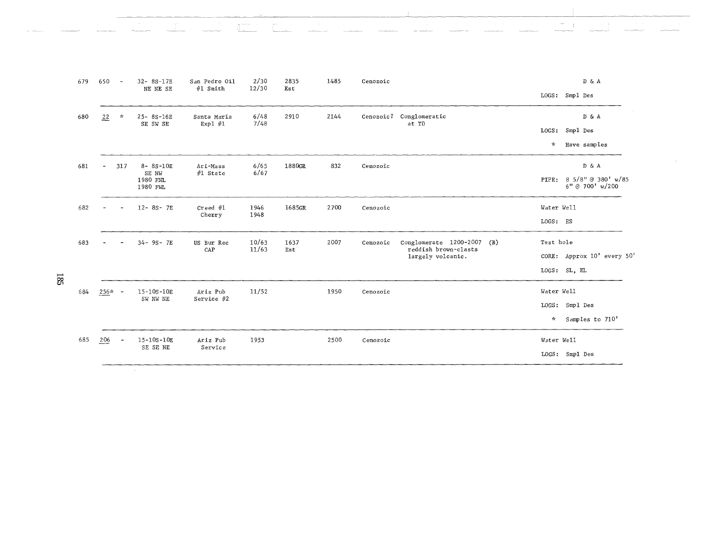|     | 679 | 650            | $\overline{\phantom{a}}$ | 32-8S-17E<br>NE NE SE         | San Pedro Oil<br>#1 Smith | 2/30<br>12/30 | 2835<br>Est | 1485 | Cenozoic |                                           |               | D & A<br>LOGS: Smpl Des               |
|-----|-----|----------------|--------------------------|-------------------------------|---------------------------|---------------|-------------|------|----------|-------------------------------------------|---------------|---------------------------------------|
|     | 680 | 22             | $\pi$                    | 25-8S-16E<br>SE SW SE         | Santa Maria<br>Expl $#1$  | 6/48<br>7/48  | 2910        | 2144 |          | Cenozoic? Conglomeratic<br>at TD          |               | DδA                                   |
|     |     |                |                          |                               |                           |               |             |      |          |                                           |               | LOGS: Smpl Des                        |
|     |     |                |                          |                               |                           |               |             |      |          |                                           | $\mathcal{H}$ | Have samples                          |
|     | 681 | $\overline{a}$ | 317                      | $8 - 8S - 10E$                | Ari-Mass                  | 6/65          | 1880GR      | 832  | Cenozoic |                                           |               | D & A                                 |
|     |     |                |                          | SE NW<br>1980 FNL<br>1980 FWL | $#1$ State                | 6/67          |             |      |          |                                           | PIPE:         | 8 5/8" @ 380' w/85<br>6" @ 700' w/200 |
|     | 682 |                |                          | $12 - 8S - 7E$                | $\mathsf{Creed}$ #1       | 1946          | 1685GR      | 2700 | Cenozoic |                                           | Water Well    |                                       |
|     |     |                |                          |                               | Cherry                    | 1948          |             |      |          |                                           | LOGS: ES      |                                       |
|     | 683 |                |                          | 34-9S-7E                      | US Bur Rec                | 10/63         | 1637        | 2007 | Cenozoic | Conglomerate 1200-2007<br>(B)             | Test hole     |                                       |
|     |     |                |                          |                               | CAP                       | 11/63         | Est         |      |          | reddish brown-clasts<br>largely volcanic. |               | CORE: Approx 10' every 50'            |
| 185 |     |                |                          |                               |                           |               |             |      |          |                                           |               | LOGS: SL, EL                          |
|     | 684 | $256* -$       |                          | 15-10S-10E                    | Ariz Pub                  | 11/52         |             | 1950 | Cenozoic |                                           | Water Well    |                                       |
|     |     |                |                          | SW NW NE                      | Service #2                |               |             |      |          |                                           |               | LOGS: Smpl Des                        |
|     |     |                |                          |                               |                           |               |             |      |          |                                           | $\mathcal{N}$ | Samples to 710'                       |
|     | 685 | 206            |                          | 15-10S-10E                    | Ariz Pub                  | 1953          |             | 2500 | Cenozoic |                                           | Water Well    |                                       |
|     |     |                |                          | SE SE NE                      | Service                   |               |             |      |          |                                           |               | LOGS: Smpl Des                        |
|     |     |                |                          |                               |                           |               |             |      |          |                                           |               |                                       |

 $\frac{1}{2}$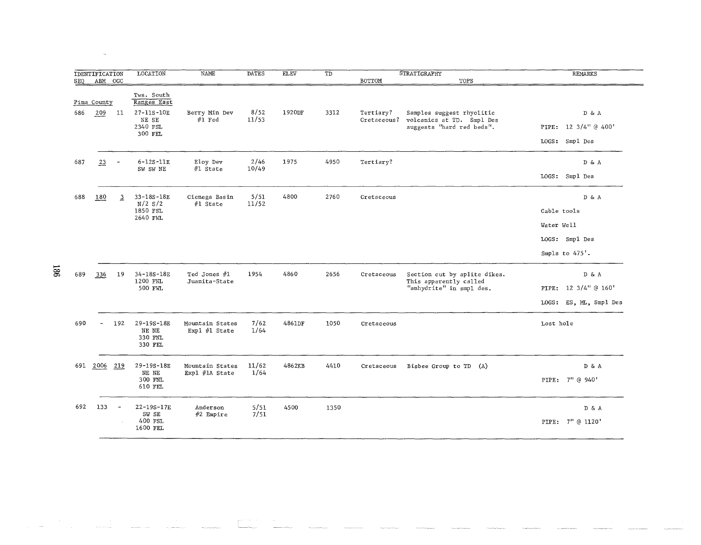| SEQ | <b>IDENTIFICATION</b><br>ABM OGC |                | <b>LOCATION</b>                           | <b>NAME</b>                         | <b>DATES</b>  | <b>ELEV</b> | $\overline{\text{TD}}$ | BOTTOM                   | <b>STRATIGRAPHY</b><br>TOPS                                                         | <b>REMARKS</b>                |
|-----|----------------------------------|----------------|-------------------------------------------|-------------------------------------|---------------|-------------|------------------------|--------------------------|-------------------------------------------------------------------------------------|-------------------------------|
|     | Pima County                      |                | Tws. South<br>Ranges East                 |                                     |               |             |                        |                          |                                                                                     |                               |
| 686 | 209                              | 11             | 27-11S-10E<br>NE SE<br>2340 FSL           | Berry Min Dev<br>$#1$ Fed           | 8/52<br>11/53 | 1920DF      | 3312                   | Tertiary?<br>Cretaceous? | Samples suggest rhyolitic<br>volcanics at TD. Smpl Des<br>suggests "hard red beds". | D & A<br>PIPE: 12 3/4" @ 400' |
|     |                                  |                | 300 FEL                                   |                                     |               |             |                        |                          |                                                                                     | LOGS: Smpl Des                |
| 687 | 23                               |                | $6 - 12S - 11E$<br>SW SW NE               | Eloy Dev<br>#1 State                | 2/46<br>10/49 | 1975        | 4950                   | Tertiary?                |                                                                                     | D & A                         |
|     |                                  |                |                                           |                                     |               |             |                        |                          |                                                                                     | LOGS: Smpl Des                |
| 688 | 180                              | $\overline{3}$ | 33-18S-18E<br>$N/2$ $S/2$                 | Cienega Basin<br>$#1$ State         | 5/51<br>11/52 | 4800        | 2760                   | Cretaceous               |                                                                                     | D & A                         |
|     |                                  |                | 1850 FSL<br>2640 FWL                      |                                     |               |             |                        |                          |                                                                                     | Cable tools                   |
|     |                                  |                |                                           |                                     |               |             |                        |                          |                                                                                     | Water Well                    |
|     |                                  |                |                                           |                                     |               |             |                        |                          |                                                                                     | LOGS: Smp1 Des                |
|     |                                  |                |                                           |                                     |               |             |                        |                          |                                                                                     | Smpls to 475'.                |
| 689 | 336                              | 19             | 34-18S-18E<br>1200 FNL                    | Ted Jones #1<br>Juanita-State       | 1954          | 4860        | 2656                   | Cretaceous               | Section cut by aplite dikes.<br>This apparently called                              | D & A                         |
|     |                                  |                | 500 FWL                                   |                                     |               |             |                        |                          | "anhydrite" in smpl des.                                                            | 12 3/4" @ 160'<br>PIPE:       |
|     |                                  |                |                                           |                                     |               |             |                        |                          |                                                                                     | LOGS:<br>ES, ML, Smpl Des     |
| 690 | $\tilde{\phantom{a}}$            | 192            | 29-19S-18E<br>NE NE<br>330 FNL<br>330 FEL | Mountain States<br>Expl #1 State    | 7/62<br>1/64  | 4861DF      | 1050                   | Cretaceous               |                                                                                     | Lost hole                     |
| 691 | 2006                             | 219            | 29-19S-18E<br>NE NE<br>300 FNL<br>610 FEL | Mountain States<br>Expl $#1A$ State | 11/62<br>1/64 | 4862KB      | 4410                   | Cretaceous               | Bisbee Group to TD (A)                                                              | D & A<br>PIPE: 7" @ 940'      |
| 692 | 133                              | $\overline{a}$ | 22-19S-17E<br>SW SE                       | Anderson<br>$#2$ Empire             | 5/51<br>7/51  | 4500        | 1350                   |                          |                                                                                     | D & A                         |
|     |                                  |                | 400 FSL<br>1600 FEL                       |                                     |               |             |                        |                          |                                                                                     | PIPE: 7" @ 1120'              |

 $\frac{1}{8}$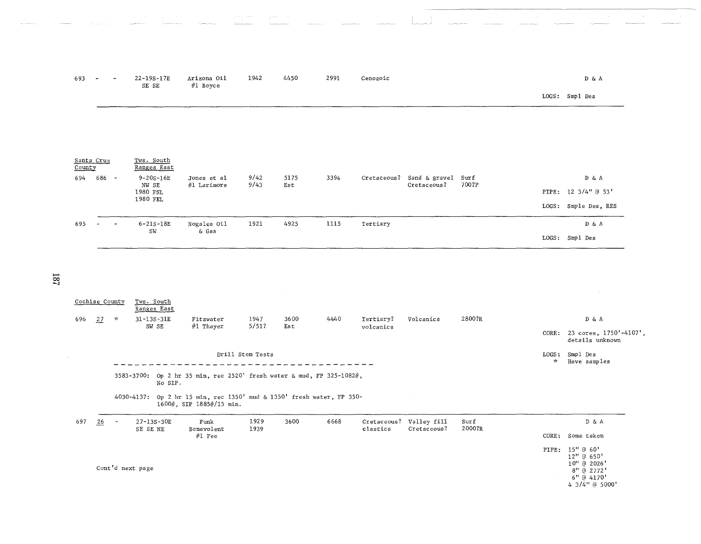| 693                  |       | 22-19S-17E<br>SE SE       | Arizona Oil<br>#1 Boyce    | 1942         | 4450        | 2991 | Cenozoic    |                              |               | D & A                |
|----------------------|-------|---------------------------|----------------------------|--------------|-------------|------|-------------|------------------------------|---------------|----------------------|
|                      |       |                           |                            |              |             |      |             |                              |               | LOGS: Smpl Des       |
|                      |       |                           |                            |              |             |      |             |                              |               |                      |
|                      |       |                           |                            |              |             |      |             |                              |               |                      |
|                      |       |                           |                            |              |             |      |             |                              |               |                      |
| Santa Cruz<br>County |       | Tws. South<br>Ranges East |                            |              |             |      |             |                              |               |                      |
| 694                  | 686 - | 9-20S-16E<br>NW SE        | Jones et al<br>#1 Larimore | 9/42<br>9/43 | 5175<br>Est | 3394 | Cretaceous? | Sand & gravel<br>Cretaceous? | Surf<br>700?P | D & A                |
|                      |       | 1980 FSL<br>1980 FEL      |                            |              |             |      |             |                              |               | PIPE: 12 3/4" @ 53'  |
|                      |       |                           |                            |              |             |      |             |                              |               | LOGS: Smple Des, RES |
| 695                  |       | $6 - 21S - 18E$<br>SW     | Nogales Oil<br>& Gas       | 1921         | 4925        | 1115 | Tertiary    |                              |               | DδA                  |
|                      |       |                           |                            |              |             |      |             |                              |               | LOGS: Smpl Des       |

|     | Cochise County  |               | Tws. South<br>Ranges East |                                                                                                   |                  |      |      |           |                                        |                |                        |                                                                                            |
|-----|-----------------|---------------|---------------------------|---------------------------------------------------------------------------------------------------|------------------|------|------|-----------|----------------------------------------|----------------|------------------------|--------------------------------------------------------------------------------------------|
| 696 | 27              | $\mathcal{A}$ | 31-13S-31E                | Fitzwater                                                                                         | 1947<br>5/51?    | 3600 | 4440 | Tertiary? | Volcanics                              | 2800?R         |                        | D & A                                                                                      |
|     |                 |               | SW SE                     | #1 Thayer                                                                                         |                  | Est  |      | volcanics |                                        |                | CORE:                  | 23 cores, 1750'-4107',<br>details unknown                                                  |
|     |                 |               |                           |                                                                                                   | Drill Stem Tests |      |      |           |                                        |                | LOGS:<br>$\mathcal{N}$ | Smpl Des<br>Have samples                                                                   |
|     |                 |               | No SIP.                   | 3583-3700: Op 2 hr 35 min, rec 2520' fresh water & mud, FP 325-1082#,                             |                  |      |      |           |                                        |                |                        |                                                                                            |
|     |                 |               |                           | 4030-4137: Op 2 hr 15 min, rec 1350' mud & 1350' fresh water, FP 350-<br>1600#, SIP 1885#/15 min. |                  |      |      |           |                                        |                |                        |                                                                                            |
| 697 | $\overline{26}$ | $\sim$        | 27-13S-30E<br>SE SE NE    | Funk<br>Benevolent                                                                                | 1929<br>1939     | 3600 | 6668 | clastics  | Cretaceous? Valley fill<br>Cretaceous? | Surf<br>2000?R |                        | D & A                                                                                      |
|     |                 |               |                           | $#1$ Fee                                                                                          |                  |      |      |           |                                        |                | CORE:                  | Some taken                                                                                 |
|     |                 |               | Cont'd next page          |                                                                                                   |                  |      |      |           |                                        |                |                        | PIPE: 15" @ 60'<br>12" @ 650"<br>10" @ 2026'<br>8" @ 2772'<br>6" @ 4170'<br>4 3/4" @ 5000' |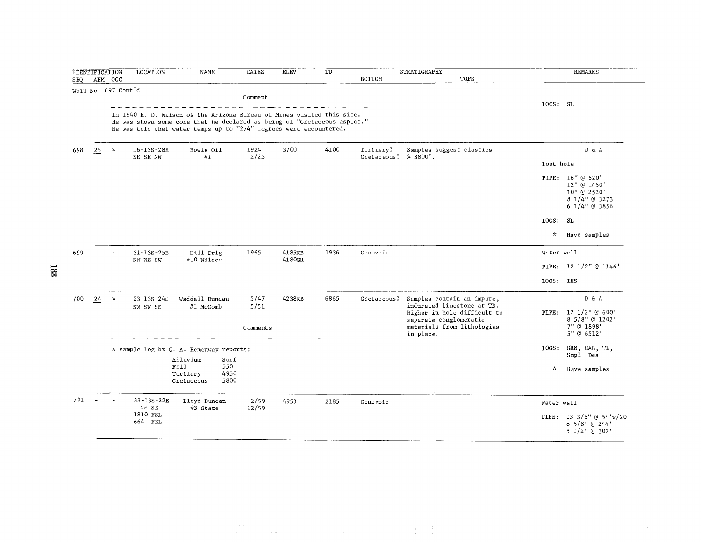| SEQ |    | <b>IDENTIFICATION</b><br>ABM OGC | <b>LOCATION</b>              | <b>NAME</b>                                                                                                                                                                                                              | <b>DATES</b>             | <b>ELEV</b>      | TD   | BOTTOM                            | STRATIGRAPHY<br>TOPS                                                                                                                                         |                 | <b>REMARKS</b>                                                                     |
|-----|----|----------------------------------|------------------------------|--------------------------------------------------------------------------------------------------------------------------------------------------------------------------------------------------------------------------|--------------------------|------------------|------|-----------------------------------|--------------------------------------------------------------------------------------------------------------------------------------------------------------|-----------------|------------------------------------------------------------------------------------|
|     |    | Well No. 697 Cont'd              |                              |                                                                                                                                                                                                                          |                          |                  |      |                                   |                                                                                                                                                              |                 |                                                                                    |
|     |    |                                  |                              | In 1940 E. D. Wilson of the Arizona Bureau of Mines visited this site.<br>He was shown some core that he declared as being of "Cretaceous aspect."<br>He was told that water temps up to "274" degrees were encountered. | Comment                  |                  |      |                                   |                                                                                                                                                              | LOGS: SL        |                                                                                    |
| 698 | 25 | $\mathcal{H}$                    | 16-13S-28E<br>SE SE NW       | Bowie Oil<br>#1                                                                                                                                                                                                          | 1924<br>2/25             | 3700             | 4100 | Tertiary?<br>Cretaceous? @ 3800'. | Samples suggest clastics                                                                                                                                     |                 | D & A                                                                              |
|     |    |                                  |                              |                                                                                                                                                                                                                          |                          |                  |      |                                   |                                                                                                                                                              | Lost hole       | PIPE: 16" @ 620'<br>12" @ 1450'<br>10" @ 2520'<br>8 1/4" @ 3273'<br>6 1/4" @ 3856' |
|     |    |                                  |                              |                                                                                                                                                                                                                          |                          |                  |      |                                   |                                                                                                                                                              | $_{\rm LOGS}$ : | SL                                                                                 |
|     |    |                                  |                              |                                                                                                                                                                                                                          |                          |                  |      |                                   |                                                                                                                                                              | $\pi$           | Have samples                                                                       |
| 699 |    |                                  | $31 - 13S - 25E$<br>NW NE SW | Hill Drlg<br>#10 Wilcox                                                                                                                                                                                                  | 1965                     | 4185KB<br>4180GR | 1936 | Cenozoic                          |                                                                                                                                                              | Water well      |                                                                                    |
|     |    |                                  |                              |                                                                                                                                                                                                                          |                          |                  |      |                                   |                                                                                                                                                              |                 | PIPE: 12 1/2" @ 1146'                                                              |
|     |    |                                  |                              |                                                                                                                                                                                                                          |                          |                  |      |                                   |                                                                                                                                                              | LOGS: IES       |                                                                                    |
| 700 | 24 | $\mathbf{x}$                     | 23-13S-24E<br>SW SW SE       | Waddell-Duncan<br>#1 McComb                                                                                                                                                                                              | 5/47<br>5/51<br>Comments | 4238KB           | 6865 | Cretaceous?                       | Samples contain an impure,<br>indurated limestone at TD.<br>Higher in hole difficult to<br>separate conglomeratic<br>materials from lithologies<br>in place. |                 | D & A<br>PIPE: 12 1/2" @ 600'<br>8 5/8" @ 1202'<br>7" @ 1898'<br>5" @ 6512'        |
|     |    |                                  |                              | A sample log by G. A. Hemenway reports:                                                                                                                                                                                  |                          |                  |      |                                   |                                                                                                                                                              | LOGS:           | GRN, CAL, TL,<br>Smpl Des                                                          |
|     |    |                                  |                              | Alluvium<br>Surf<br>F111<br>550<br>4950<br>Tertiary<br>5800<br>Cretaceous                                                                                                                                                |                          |                  |      |                                   |                                                                                                                                                              | $\mathbf{x}$    | Have samples                                                                       |
| 701 |    |                                  | 33-13S-22E<br>NE SE          | Lloyd Duncan<br>#3 State                                                                                                                                                                                                 | 2/59<br>12/59            | 4953             | 2185 | Cenozoic                          |                                                                                                                                                              | Water well      |                                                                                    |
|     |    |                                  | 1810 FSL<br>664 FEL          |                                                                                                                                                                                                                          |                          |                  |      |                                   |                                                                                                                                                              |                 | PIPE: 13 3/8" @ 54'w/20<br>$8\;5/8"$ @ 244'<br>5 1/2" @ 302'                       |

 $\label{eq:3.1} \begin{split} &\text{if } \text{supp}(\alpha) = \text{supp}(\alpha) \\ &\text{if } \alpha \in \mathbb{R}^n, \quad \text{if } \alpha \in \mathbb{R}^n, \\ &\text{if } \alpha \in \mathbb{R}^n, \quad \text{if } \alpha \in \mathbb{R}^n, \quad \text{if } \alpha \in \mathbb{R}^n, \\ &\text{if } \alpha \in \mathbb{R}^n, \quad \text{if } \alpha \in \mathbb{R}^n, \\ &\text{if } \alpha \in \mathbb{R}^n, \quad \text{if } \alpha \in \mathbb{R}^n, \\$ 

 $\frac{1}{2} \left( \frac{1}{2} \right) \left( \frac{1}{2} \right)$ 

**co**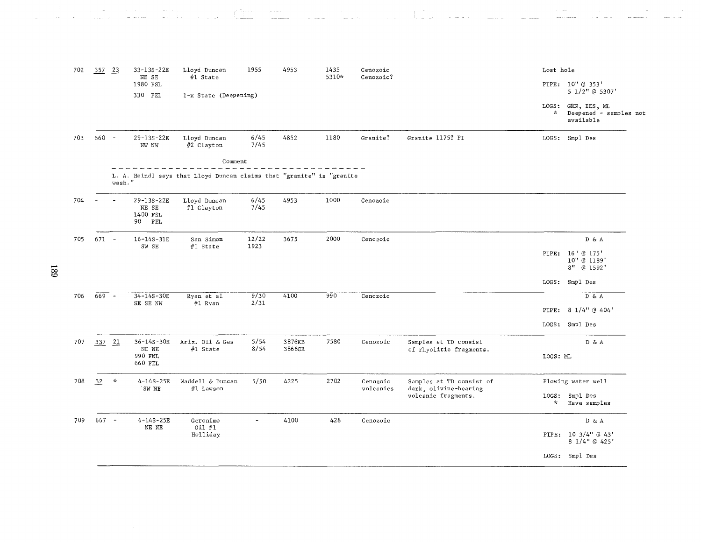| 702 | 357 23  |               | 33-13S-22E<br>NE SE                       | Lloyd Duncan<br>#1 State                                              | 1955         | 4953   | 1435<br>5310* | Cenozoic<br>Cenozoic? |                                              | Lost hole             |                                                     |
|-----|---------|---------------|-------------------------------------------|-----------------------------------------------------------------------|--------------|--------|---------------|-----------------------|----------------------------------------------|-----------------------|-----------------------------------------------------|
|     |         |               | 1980 FSL<br>330 FEL                       | 1-x State (Deepening)                                                 |              |        |               |                       |                                              |                       | PIPE: 10" @ 353'<br>5 1/2" @ 5307'                  |
|     |         |               |                                           |                                                                       |              |        |               |                       |                                              | LOGS:<br>$\mathbf{x}$ | GRN, IES, ML<br>Deepened - samples not<br>available |
| 703 | $660 -$ |               | $29 - 13S - 22E$<br>NW NW                 | Lloyd Duncan<br>#2 Clayton                                            | 6/45<br>7/45 | 4852   | 1180          | Granite?              | Granite 1175? PI                             |                       | LOGS: Smp1 Des                                      |
|     |         |               |                                           | Comment                                                               |              |        |               |                       |                                              |                       |                                                     |
|     |         | wash."        |                                           | L. A. Heindl says that Lloyd Duncan claims that "granite" is "granite |              |        |               |                       |                                              |                       |                                                     |
| 704 |         |               | 29-13S-22E<br>NE SE<br>1400 FSL<br>90 FEL | Lloyd Duncan<br>#1 Clayton                                            | 6/45<br>7/45 | 4953   | 1000          | Cenozoic              |                                              |                       |                                                     |
| 705 | $671 -$ |               | $16 - 14S - 31E$                          | San Simon                                                             | 12/22        | 3675   | 2000          | Cenozoic              |                                              |                       | D & A                                               |
|     |         |               | SW SE                                     | #1 State                                                              | 1923         |        |               |                       |                                              |                       | PIPE: 16" @ 175'<br>10" @ 1189'<br>8" @ 1592'       |
|     |         |               |                                           |                                                                       |              |        |               |                       |                                              |                       | LOGS: Smpl Des                                      |
| 706 | $669 -$ |               | $34 - 14S - 30E$                          | Ryan et al                                                            | 9/30<br>2/31 | 4100   | 990           | Cenozoic              |                                              |                       | $D$ & $A$                                           |
|     |         |               | SE SE NW                                  | #1 Ryan                                                               |              |        |               |                       |                                              | PIPE:                 | 8 1/4" @ 404'                                       |
|     |         |               |                                           |                                                                       |              |        |               |                       |                                              |                       | LOGS: Smp1 Des                                      |
| 707 | 337 21  |               | 36-14S-30E                                | Ariz. Oil & Gas                                                       | 5/54         | 3876KB | 7580          | Cenozoic              | Samples at TD consist                        |                       | D & A                                               |
|     |         |               | NE NE<br>990 FNL<br>660 FEL               | #1 State                                                              | 8/54         | 3866GR |               |                       | of rhyolitic fragments.                      | LOGS: ML              |                                                     |
| 708 | 32      | $\mathcal{R}$ | $4 - 14S - 25E$                           | Waddell & Duncan                                                      | 5/50         | 4225   | 2702          | Cenozoic              | Samples at TD consist of                     |                       | Flowing water well                                  |
|     |         |               | 'SW NE                                    | #1 Lawson                                                             |              |        |               | volcanics             | dark, olivine-bearing<br>volcanic fragments. | $\star$               | LOGS: Smpl Des<br>Have samples                      |
| 709 | $667 -$ |               | $6 - 14S - 25E$<br>NE NE                  | Geronimo<br>Oil $#1$                                                  |              | 4100   | 428           | Cenozoic              |                                              |                       | D & A                                               |
|     |         |               |                                           | Holliday                                                              |              |        |               |                       |                                              |                       | PIPE: 10 3/4" @ 43'<br>8 1/4" @ 425'                |
|     |         |               |                                           |                                                                       |              |        |               |                       |                                              |                       | LOGS: Smp1 Des                                      |
|     |         |               |                                           |                                                                       |              |        |               |                       |                                              |                       |                                                     |

 $1.7\pm$ 

68T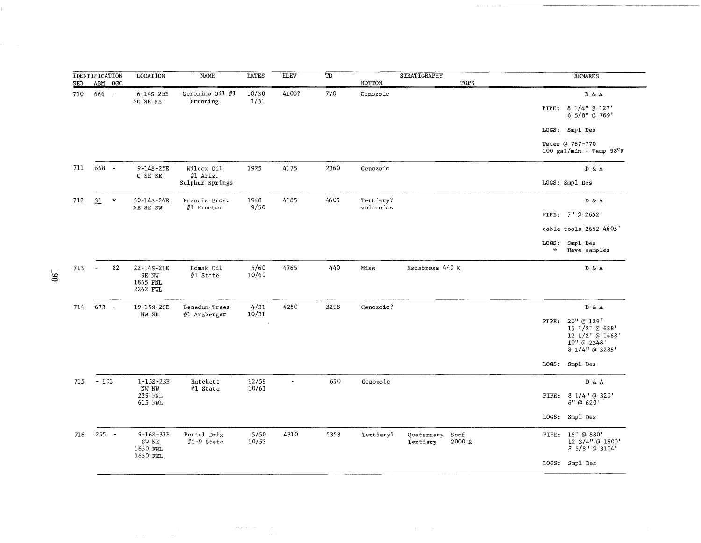|     | <b>IDENTIFICATION</b> |               | LOCATION                                          | <b>NAME</b>                   | <b>DATES</b>   | <b>ELEV</b>              | TD   |                        | <b>STRATIGRAPHY</b>         |        |                        | <b>REMARKS</b>                                                                         |
|-----|-----------------------|---------------|---------------------------------------------------|-------------------------------|----------------|--------------------------|------|------------------------|-----------------------------|--------|------------------------|----------------------------------------------------------------------------------------|
| SEQ | ABM OGC               |               |                                                   |                               |                |                          |      | BOTTOM                 |                             | TOPS   |                        |                                                                                        |
| 710 | 666 -                 |               | $6 - 14S - 25E$<br>SE NE NE                       | Geronimo Oil #1<br>Brunning   | 10/30<br>1/31  | 4100?                    | 770  | Cenozoic               |                             |        | PIPE:                  | D & A<br>8 1/4" @ 127'<br>6 5/8" @ 769'                                                |
|     |                       |               |                                                   |                               |                |                          |      |                        |                             |        |                        | LOGS: Smpl Des                                                                         |
|     |                       |               |                                                   |                               |                |                          |      |                        |                             |        |                        | Water @ 767-770<br>100 gal/min - Temp $98^{\circ}$ F                                   |
| 711 | 668 -                 |               | $9 - 14S - 25E$<br>C SE SE                        | Wilcox Oil<br>#1 Ariz.        | 1925           | 4175                     | 2360 | Cenozoic               |                             |        |                        | D & A                                                                                  |
|     |                       |               |                                                   | Sulphur Springs               |                |                          |      |                        |                             |        |                        | LOGS: Smpl Des                                                                         |
| 712 | 31                    | $\mathcal{H}$ | 30-14S-24E<br>NE SE SW                            | Francis Bros.<br>#1 Proctor   | 1948<br>9/50   | 4185                     | 4605 | Tertiary?<br>volcanics |                             |        |                        | D & A                                                                                  |
|     |                       |               |                                                   |                               |                |                          |      |                        |                             |        |                        | PIPE: 7" @ 2652'                                                                       |
|     |                       |               |                                                   |                               |                |                          |      |                        |                             |        |                        | cable tools 2652-4605'                                                                 |
|     |                       |               |                                                   |                               |                |                          |      |                        |                             |        | LOGS:<br>$\mathcal{H}$ | Smpl Des<br>Have samples                                                               |
| 713 | $\Delta$              | 82            | $22 - 14S - 21E$<br>SE NW<br>1865 FNL<br>2262 FWL | Bomak Oil<br>$#1$ State       | 5/60<br>10/60  | 4765                     | 440  | Miss                   | Escabrosa 440 K             |        |                        | DδA                                                                                    |
| 714 | $673 -$               |               | 19-15S-26E<br>NW SE                               | Benedum-Trees<br>#1 Arzberger | 4/31<br>10/31  | 4250                     | 3298 | Cenozoic?              |                             |        |                        | D & A                                                                                  |
|     |                       |               |                                                   |                               |                |                          |      |                        |                             |        |                        | PIPE: 20" @ 129"<br>15 1/2" @ 638'<br>12 1/2" @ 1468'<br>10" @ 2348'<br>8 1/4" @ 3285' |
|     |                       |               |                                                   |                               |                |                          |      |                        |                             |        |                        | LOGS: Smpl Des                                                                         |
| 715 | $-103$                |               | $1 - 15S - 23E$<br>NW NW                          | Hatchett<br>$#1$ State        | 12/59<br>10/61 | $\overline{\phantom{0}}$ | 670  | Cenozoic               |                             |        |                        | $\mathbb{D} \ \& \ \mathbb{A}$                                                         |
|     |                       |               | 239 FNL<br>615 FWL                                |                               |                |                          |      |                        |                             |        |                        | PIPE: 8 1/4" @ 320'<br>6" @ 620'                                                       |
|     |                       |               |                                                   |                               |                |                          |      |                        |                             |        |                        | LOGS: Smp1 Des                                                                         |
| 716 | $255 -$               |               | $9 - 16S - 31E$<br>SW NE<br>1650 FNL<br>1650 FEL  | Portal Drlg<br>#C-9 State     | 5/50<br>10/53  | 4310                     | 5353 | Tertiary?              | Quaternary Surf<br>Tertiary | 2000 R |                        | PIPE: 16" @ 880'<br>12 3/4" @ 1600'<br>8 5/8" @ 3104'                                  |
|     |                       |               |                                                   |                               |                |                          |      |                        |                             |        |                        | LOGS: Smpl Des                                                                         |

 $\mathcal{A}(\mathcal{A})$  and  $\mathcal{A}(\mathcal{A})$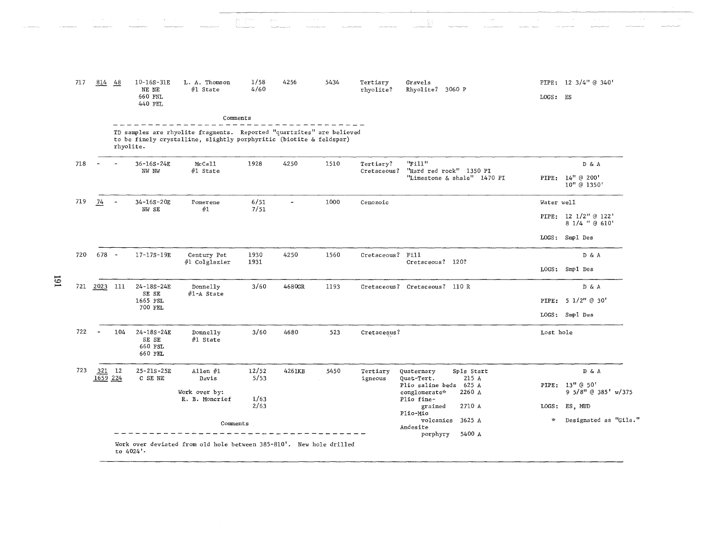| 717 | 814 48         |                          | $10 - 16S - 31E$<br>NE NE<br>660 FNL<br>440 FEL | L. A. Thomson<br>#1 State                                                                                                                    | 1/58<br>4/60  | 4256                     | 5434 | Tertiary<br>rhyolite? | Gravels<br>Rhyolite? 3060 P                                     | LOGS: ES   | PIPE: 12 3/4" @ 340'                   |
|-----|----------------|--------------------------|-------------------------------------------------|----------------------------------------------------------------------------------------------------------------------------------------------|---------------|--------------------------|------|-----------------------|-----------------------------------------------------------------|------------|----------------------------------------|
|     |                |                          |                                                 | Comments                                                                                                                                     |               |                          |      |                       |                                                                 |            |                                        |
|     |                | rhyolite.                |                                                 | TD samples are rhyolite fragments. Reported "quartzites" are believed<br>to be finely crystalline, slightly porphyritic (biotite & feldspar) |               |                          |      |                       |                                                                 |            |                                        |
| 718 | $\overline{a}$ |                          | 36-16S-24E                                      | McCall                                                                                                                                       | 1928          | 4250                     | 1510 | Tertiary?             | "Fill"                                                          |            | DδA                                    |
|     |                |                          | NW NW                                           | #1 State                                                                                                                                     |               |                          |      | Cretaceous?           | "Hard red rock" 1350 PI<br>"Limestone & shale" 1470 PI          |            | PIPE: 14" @ 200'<br>10" @ 1350'        |
| 719 | $\frac{74}{1}$ | $\overline{\phantom{a}}$ | $34 - 16S - 20E$<br>NW SE                       | Pomerene<br>#1                                                                                                                               | 6/51<br>7/51  | $\overline{\phantom{a}}$ | 1000 | Cenozoic              |                                                                 | Water well |                                        |
|     |                |                          |                                                 |                                                                                                                                              |               |                          |      |                       |                                                                 |            | PIPE: 12 1/2" @ 122'<br>8 1/4 " @ 610' |
|     |                |                          |                                                 |                                                                                                                                              |               |                          |      |                       |                                                                 |            | LOGS: Smpl Des                         |
| 720 | $678 -$        |                          | 17-17S-19E                                      | Century Pet                                                                                                                                  | 1930<br>1931  | 4250                     | 1560 | Cretaceous? Fill      | Cretaceous? 120?                                                |            | D & A                                  |
|     |                |                          |                                                 | #1 Colglazier                                                                                                                                |               |                          |      |                       |                                                                 |            | LOGS: Smp1 Des                         |
| 721 | 2023 111       |                          | 24-18S-24E<br>SE SE                             | Donnelly<br>#1-A State                                                                                                                       | 3/60          | 4680GR                   | 1193 |                       | Cretaceous? Cretaceous? 110 R                                   |            | D & A                                  |
|     |                |                          | 1665 FSL<br>700 FEL                             |                                                                                                                                              |               |                          |      |                       |                                                                 |            | PIPE: $5 \frac{1}{2}$ ( 30'            |
|     |                |                          |                                                 |                                                                                                                                              |               |                          |      |                       |                                                                 |            | LOGS: Smpl Des                         |
| 722 |                | 104                      | 24-18S-24E<br>SE SE<br>660 FSL<br>660 FEL       | Donnelly<br>#1 State                                                                                                                         | 3/60          | 4680                     | 523  | Cretaceous?           |                                                                 | Lost hole  |                                        |
| 723 | 321 12         |                          | $25 - 21S - 25E$<br>C SE NE                     | Allen $#1$<br>Davis                                                                                                                          | 12/52<br>5/53 | 4261KB                   | 5450 | Tertiary<br>igneous   | Spls Start<br>Quaternary<br>215 A<br>Ouat-Tert.                 |            | D & A                                  |
|     | 1659 224       |                          |                                                 | Work over by:<br>R. B. Moncrief                                                                                                              | 1/63          |                          |      |                       | Plio saline beds 625 A<br>2260 A<br>conglomerate*<br>Plio fine- |            | PIPE: 13" @ 50'<br>9 5/8" @ 385' w/375 |
|     |                |                          |                                                 |                                                                                                                                              | 2/63          |                          |      |                       | 2710 A<br>grained<br>Plio-Mio                                   |            | LOGS: ES, MUD                          |
|     |                |                          |                                                 | Comments                                                                                                                                     |               |                          |      |                       | volcanics<br>3625 A<br>Andesite<br>5400 A<br>porphyry           | $\star$    | Designated as "Gila."                  |

I6I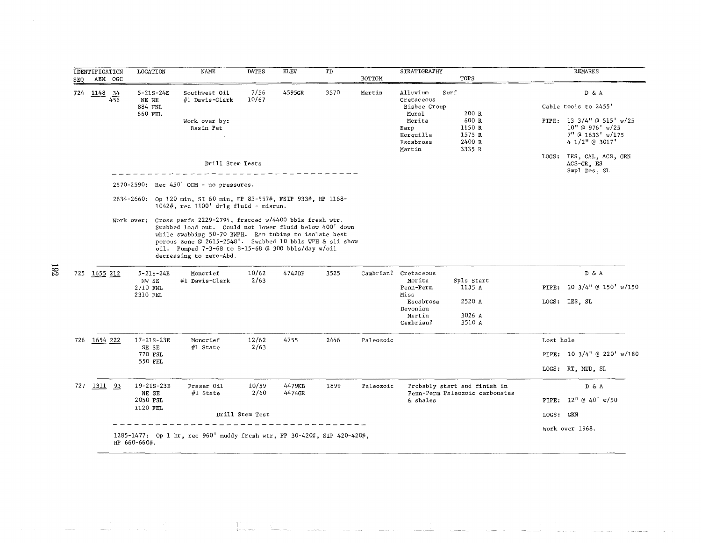|     | <b>IDENTIFICATION</b>  |         | LOCATION                                       | NAME                                                                                                                                                                                                                                                                                                                              | <b>DATES</b>    | ${\rm EL}$ EV | TD   |               | STRATIGRAPHY                                                                                          |                                                                |           | <b>REMARKS</b>                                                                                                           |
|-----|------------------------|---------|------------------------------------------------|-----------------------------------------------------------------------------------------------------------------------------------------------------------------------------------------------------------------------------------------------------------------------------------------------------------------------------------|-----------------|---------------|------|---------------|-------------------------------------------------------------------------------------------------------|----------------------------------------------------------------|-----------|--------------------------------------------------------------------------------------------------------------------------|
| SEQ |                        | ABM OGC |                                                |                                                                                                                                                                                                                                                                                                                                   |                 |               |      | <b>BOTTOM</b> |                                                                                                       | TOPS                                                           |           |                                                                                                                          |
|     | 724 $\frac{1148}{456}$ |         | $5 - 21S - 24E$<br>NE NE<br>884 FNL<br>660 FEL | Southwest Oil<br>#1 Davis-Clark<br>Work over by:<br>Basin Pet                                                                                                                                                                                                                                                                     | 7/56<br>10/67   | 4595GR        | 3570 | Martin        | Alluvium<br>Cretaceous<br>Bisbee Group<br>Mural<br>Morita<br>Earp<br>Horquilla<br>Escabrosa<br>Martin | Surf<br>200 R<br>600 R<br>1150 R<br>1575 R<br>2400 R<br>3335 R |           | D & A<br>Cable tools to 2455'<br>PIPE: 13 3/4" @ 515' $w/25$<br>$10''$ @ 976' w/25<br>7" @ 1633' w/175<br>4 1/2" @ 3017' |
|     |                        |         |                                                | Drill Stem Tests                                                                                                                                                                                                                                                                                                                  |                 |               |      |               |                                                                                                       |                                                                |           | LOGS: IES, CAL, ACS, GRN<br>$ACS-GR$ , $ES$<br>Smpl Des, SL                                                              |
|     |                        |         |                                                | 2570-2590: Rec 450' OCM - no pressures.                                                                                                                                                                                                                                                                                           |                 |               |      |               |                                                                                                       |                                                                |           |                                                                                                                          |
|     |                        |         |                                                | 2634-2660: Op 120 min, SI 60 min, FP 83-557#, FSIP 933#, HP 1168-<br>$1042$ #, rec $1100'$ drlg fluid - misrun.                                                                                                                                                                                                                   |                 |               |      |               |                                                                                                       |                                                                |           |                                                                                                                          |
|     |                        |         | $5 - 21S - 24E$                                | Work over: Gross perfs 2229-2794, fracced w/4400 bbls fresh wtr.<br>Swabbed load out. Could not lower fluid below 400' down<br>while swabbing 50-70 BWPH. Ran tubing to isolate best<br>porous zone @ 2615-2548'. Swabbed 10 bbls WPH & sli show<br>oil. Pumped 7-3-68 to 8-15-68 @ 300 bbls/day w/oil<br>decreasing to zero-Abd. | 10/62           | 4742DF        | 3525 |               | Cambrian? Cretaceous                                                                                  |                                                                |           | DδA                                                                                                                      |
|     | 725 1655 212           |         | NW SE<br>2710 FNL                              | Moncrief<br>#1 Davis-Clark                                                                                                                                                                                                                                                                                                        | 2/63            |               |      |               | Morita<br>Penn-Perm<br>Miss                                                                           | Spls Start<br>1135 A                                           | PIPE:     | 10 3/4" @ 150' w/150                                                                                                     |
|     |                        |         | 2310 FEL                                       |                                                                                                                                                                                                                                                                                                                                   |                 |               |      |               | Escabrosa<br>Devonian                                                                                 | 2520 A                                                         |           | LOGS: IES. SL                                                                                                            |
|     |                        |         |                                                |                                                                                                                                                                                                                                                                                                                                   |                 |               |      |               | Martin<br>Cambrian?                                                                                   | 3026 A<br>3510 A                                               |           |                                                                                                                          |
|     | 726 1654 222           |         | 17-21S-23E                                     | Moncrief                                                                                                                                                                                                                                                                                                                          | 12/62           | 4755          | 2446 | Paleozoic     |                                                                                                       |                                                                | Lost hole |                                                                                                                          |
|     |                        |         | SE SE<br>770 FSL                               | #1 State                                                                                                                                                                                                                                                                                                                          | 2/63            |               |      |               |                                                                                                       |                                                                |           | PIPE: 10 3/4" @ 220' w/180                                                                                               |
|     |                        |         | 550 FEL                                        |                                                                                                                                                                                                                                                                                                                                   |                 |               |      |               |                                                                                                       |                                                                |           | LOGS: RT, MUD, SL                                                                                                        |
|     | 727 1311 93            |         | 19-21S-23E                                     | Fraser Oil                                                                                                                                                                                                                                                                                                                        | 10/59           | 4479KB        | 1899 | Paleozoic     |                                                                                                       | Probably start and finish in                                   |           | D & A                                                                                                                    |
|     |                        |         | NE SE<br>2050 FSL                              | $#1$ State                                                                                                                                                                                                                                                                                                                        | 2/60            | 4474GR        |      |               | & shales                                                                                              | Penn-Perm Paleozoic carbonates                                 |           | PIPE: 12" @ 40' w/50                                                                                                     |
|     |                        |         | 1120 FEL                                       |                                                                                                                                                                                                                                                                                                                                   | Drill Stem Test |               |      |               |                                                                                                       |                                                                | LOGS: GRN |                                                                                                                          |
|     |                        |         | HP $660 - 660$ #.                              | 1285-1477: Op 1 hr, rec 960' muddy fresh wtr, FP 30-420#, SIP 420-420#,                                                                                                                                                                                                                                                           |                 |               |      |               |                                                                                                       |                                                                |           | Work over 1968.                                                                                                          |

and the component of the component of the component of the component of the component of the component of the c<br>In the component of the component of the component of the component of the component of the component of the c

 $\overline{5}$ 

 $\bar{\mathcal{A}}$ 

 $\frac{1}{\pi}$ 

 $\label{eq:2.1} \frac{1}{\sqrt{2\pi}}\int_{0}^{\infty}\frac{1}{\sqrt{2\pi}}\frac{d\theta}{\sin\theta} \frac{d\theta}{\sin\theta} \,d\theta = \frac{1}{\sqrt{2\pi}}\int_{0}^{\infty}\frac{d\theta}{\cos\theta} \,d\theta$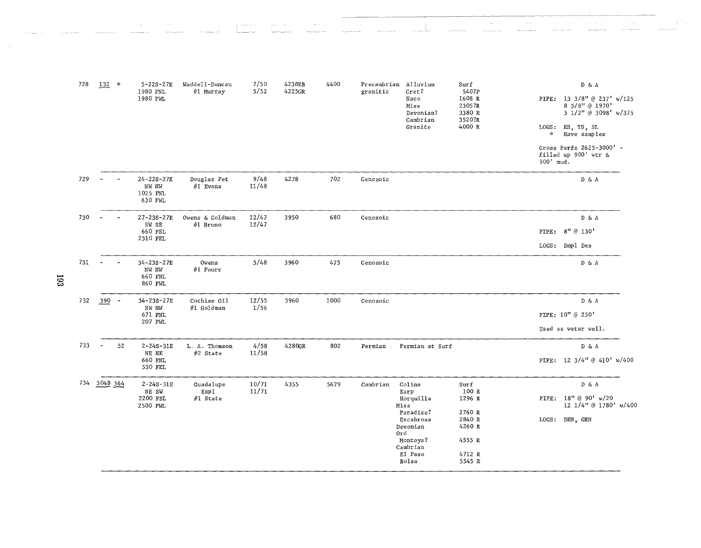| 728        | $132 *$  |    | $5 - 22S - 27E$<br>1980 FNL                                         | Waddell-Duncan<br>#1 Murray | 7/50<br>5/52   | 4238KB<br>4225GR | 4400 | granitic | Precambrian Alluvium<br>Cret? | Surf<br>540?P              |              | DδA                                                                  |  |
|------------|----------|----|---------------------------------------------------------------------|-----------------------------|----------------|------------------|------|----------|-------------------------------|----------------------------|--------------|----------------------------------------------------------------------|--|
|            |          |    | 1980 FWL                                                            |                             |                |                  |      |          | Naco<br>Miss<br>Devonian?     | 1608 R<br>2305?R<br>3380 R |              | PIPE: 13 3/8" @ 237' w/125<br>8 5/8" @ 1970'<br>5 1/2" @ 3098' w/375 |  |
|            |          |    |                                                                     |                             |                |                  |      |          | Cambrian<br>Granite           | 3520?R<br>4000 R           | $\mathbf{x}$ | LOGS: ES, TS, SL<br>Have samples                                     |  |
|            |          |    |                                                                     |                             |                |                  |      |          |                               |                            | 900' mud.    | Gross Perfs 2625-3000' -<br>filled up $900'$ wtr &                   |  |
| 729        |          |    | 24-22S-27E<br>NW NW<br>1025 FNL<br>630 FWL                          | Douglas Pet<br>$#1$ Evans   | 9/48<br>11/48  | 4278             | 702  | Cenozoic |                               |                            |              | D & A                                                                |  |
| 730        |          |    | 27-23S-27E<br>SW SE                                                 | Owens & Goldman<br>#1 Bruno | 12/47<br>12/47 | 3950             | 680  | Cenozoic |                               |                            |              | D & A                                                                |  |
|            |          |    | 660 FSL<br>2310 FEL                                                 |                             |                |                  |      |          |                               |                            | PIPE:        | 8" @ 130'                                                            |  |
|            |          |    |                                                                     |                             |                |                  |      |          |                               |                            |              | LOGS: Smp1 Des                                                       |  |
| 731<br>ణ్ణ |          |    | 34-23S-27E<br>NW NW<br>660 FNL<br>860 FWL                           | Owens<br>$#1$ Fourr         | 5/48           | 3960             | 475  | Cenozoic |                               |                            |              | $\mathbb{D} \And A$                                                  |  |
| 732        | $390 -$  |    | 34-23S-27E                                                          | Cochise Oil                 | 12/55          | 3960             | 1000 | Cenozoic |                               |                            |              | D & A                                                                |  |
|            |          |    | $\mathbb{N}\mathbb{W}$ $\mathbb{N}\mathbb{W}$<br>671 FNL<br>207 FWL | #1 Goldman                  | 1/56           |                  |      |          |                               |                            |              | PIPE: 10" @ 250'                                                     |  |
|            |          |    |                                                                     |                             |                |                  |      |          |                               |                            |              | Used as water well.                                                  |  |
| 733        |          | 52 | $2 - 24S - 31E$                                                     | L. A. Thomson               | 4/58           | 4280GR           | 802  | Permian  | Permian at Surf               |                            |              | $\mathbb{D}~$ & A                                                    |  |
|            |          |    | NE NE<br>660 FNL<br>530 FEL                                         | $#2$ State                  | 11/58          |                  |      |          |                               |                            |              | PIPE: 12 3/4" @ 410' w/400                                           |  |
| 734        | 3048 564 |    | $2 - 24S - 31E$<br>NE SW                                            | Guadalupe<br>Exp1           | 10/71<br>11/71 | 4355             | 5679 | Cambrian | Colina<br>Earp                | Surf<br>100 R              |              | D & A                                                                |  |
|            |          |    | 2200 FSL<br>2500 FWL                                                | #1 State                    |                |                  |      |          | Horquilla<br>Miss             | 1296 R                     |              | PIPE: 18" @ 90' w/20<br>12 1/4" @ 1780' w/400                        |  |
|            |          |    |                                                                     |                             |                |                  |      |          | Paradise?<br>Escabrosa        | 2760 R<br>2840 R           |              | LOGS: DEN, GRN                                                       |  |
|            |          |    |                                                                     |                             |                |                  |      |          | Devonian<br>Ord               | 4260 R                     |              |                                                                      |  |
|            |          |    |                                                                     |                             |                |                  |      |          | Montoya?<br>Cambrian          | 4555 R                     |              |                                                                      |  |
|            |          |    |                                                                     |                             |                |                  |      |          | El Paso<br>Bolsa              | 4712 R<br>5545 R           |              |                                                                      |  |

 $\alpha$  ,  $\alpha$  ,  $\beta$ 

 $\sim$  , is seen as

 $\mathcal{L}_{\text{max}}$ 

 $\frac{\partial}{\partial t} \frac{\partial}{\partial \theta} \partial_{\theta} \phi$ 

 $\mathbf{r}$ 

 $\sim 100$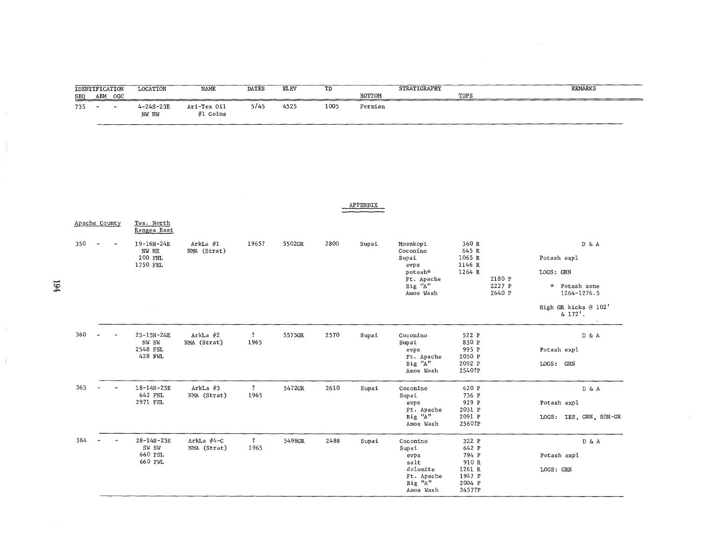| <b>SEQ</b> | <b>IDENTIFICATION</b><br>ABM OGC | <b>LOCATION</b>                                                      | NAME                      | <b>DATES</b>                    | <b>ELEV</b> | TD   | BOTTOM   | STRATIGRAPHY                                                                           | TOPS                                                                     |                            | <b>REMARKS</b>                                                  |
|------------|----------------------------------|----------------------------------------------------------------------|---------------------------|---------------------------------|-------------|------|----------|----------------------------------------------------------------------------------------|--------------------------------------------------------------------------|----------------------------|-----------------------------------------------------------------|
| 735        | $\overline{a}$                   | $4 - 24S - 23E$<br>NW NW                                             | Ari-Tex Oil<br>#1 Goins   | 5/45                            | 4525        | 1005 | Permian  |                                                                                        |                                                                          |                            |                                                                 |
|            |                                  |                                                                      |                           |                                 |             |      | APPENDIX |                                                                                        |                                                                          |                            |                                                                 |
|            | Apache County                    | Tws. North<br>Ranges East                                            |                           |                                 |             |      |          |                                                                                        |                                                                          |                            |                                                                 |
| 350        |                                  | 19-16N-24E<br>NW NE<br>200 FNL<br>1750 FEL                           | ArkLa #1<br>NMA (Strat)   | 1965?                           | 5502GR      | 2800 | Supai    | Moenkopi<br>Coconino<br>Supai<br>evps<br>potash*<br>Ft. Apache<br>Big "A"<br>Amos Wash | 360 R<br>645 R<br>1065 R<br>1146 R<br>1264 R                             | 2180 P<br>2227 P<br>2640 P | DδA<br>Potash expl<br>LOGS: GRN<br>* Potash zone<br>1264-1276.5 |
|            |                                  |                                                                      |                           |                                 |             |      |          |                                                                                        |                                                                          |                            | High GR kicks @ 102'<br>$& 172'$ .                              |
| 360        |                                  | $23 - 15N - 24E$<br>$\mathbb{N}\mathbb{W}$ SW<br>2548 FSL<br>428 FWL | $ArkLa$ #2<br>NMA (Strat) | $\overline{\mathbf{?}}$<br>1965 | 5575GR      | 2570 | Supai    | Coconino<br>Supai<br>evps<br>Ft. Apache<br>Big "A"<br>Amos Wash                        | 522 P<br>830 P<br>995 P<br>2050 P<br>2092 P<br>2540?P                    |                            | DδA<br>Potash expl<br>LOGS: GRN                                 |
| 363        | $\bar{a}$                        | 18-14N-25E<br>642 FNL<br>2971 FEL                                    | ArkLa $#3$<br>NMA (Strat) | $\mathbf{?}$<br>1965            | 5472GR      | 2610 | Supai    | Coconino<br>Supai<br>evps<br>Ft. Apache<br>Big "A"<br>Amos Wash                        | 420 P<br>736 P<br>929 P<br>2031 P<br>2091 P<br>2560?P                    |                            | $\bar{D}$ & A<br>Potash expl<br>LOGS: IES, GRN, SON-GR          |
| 364        |                                  | 28-14N-25E<br>SW SW<br>660 FSL<br>660 FWL                            | ArkLa #4-C<br>NMA (Strat) | $\overline{\mathbf{?}}$<br>1965 | 5498GR      | 2488 | Supai    | Coconino<br>Supai<br>e v p s<br>salt<br>dolomite<br>Ft. Apache<br>Big "A"<br>Amos Wash | 322 P<br>642 P<br>794 P<br>910 R<br>1261 R<br>1947 P<br>2004 P<br>2457?P |                            | $D\ \&\ A$<br>Potash expl<br>LOGS: GRN                          |

 $\bar{L}$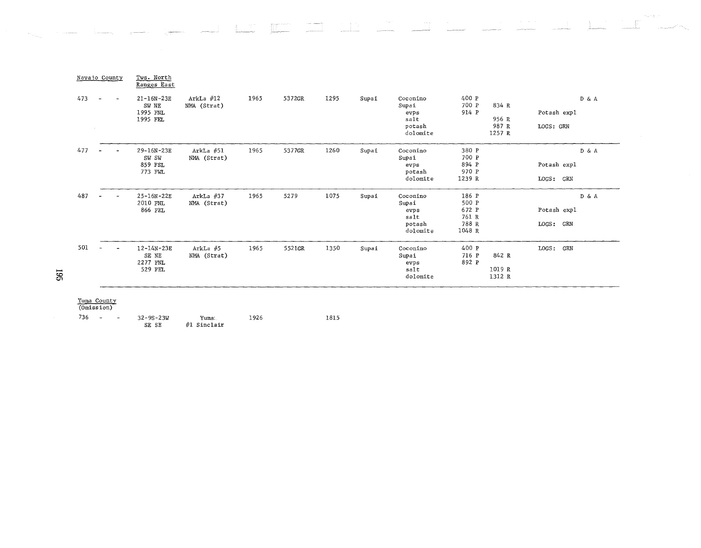| Navajo County |                                |                          | Tws. North<br>Ranges East                         |                            |      |        |      |       |                                                         |                                                     |                                   |                                   |
|---------------|--------------------------------|--------------------------|---------------------------------------------------|----------------------------|------|--------|------|-------|---------------------------------------------------------|-----------------------------------------------------|-----------------------------------|-----------------------------------|
| 473           | $\ddot{\phantom{a}}$<br>$\sim$ | $\overline{\phantom{a}}$ | $21 - 16N - 23E$<br>SW NE<br>1995 FNL<br>1995 FEL | ArkLa $#12$<br>NMA (Strat) | 1965 | 5372GR | 1295 | Supai | Coconino<br>Supai<br>evps<br>salt<br>potash<br>dolomite | 400 P<br>700 P<br>914 P                             | 834 R<br>956 R<br>987 R<br>1257 R | D & A<br>Potash expl<br>LOGS: GRN |
| 477           |                                |                          | 29-16N-23E<br>SW SW<br>859 FSL<br>773 FWL         | ArkLa $#51$<br>NMA (Strat) | 1965 | 5377GR | 1260 | Supai | Coconino<br>Supai<br>evps<br>potash<br>dolomite         | 380 P<br>700 P<br>894 P<br>970 P<br>1239 R          |                                   | D & A<br>Potash expl<br>LOGS: GRN |
| 487           |                                |                          | 25-16N-22E<br>2010 FNL<br>866 FEL                 | ArkLa #37<br>NMA (Strat)   | 1965 | 5279   | 1075 | Supai | Coconino<br>Supai<br>evps<br>salt<br>potash<br>dolomite | 186 P<br>500 P<br>672 P<br>761 R<br>788 R<br>1048 R |                                   | D & A<br>Potash expl<br>LOGS: GRN |
| 501           | $\sim$                         |                          | 12-14N-23E<br>SE NE<br>2277 FNL<br>529 FEL        | ArkLa #5<br>NMA (Strat)    | 1965 | 5521GR | 1350 | Supai | Coconino<br>Supai<br>evps<br>salt<br>dolomite           | 400 P<br>716 P<br>892 P                             | 842 R<br>1019 R<br>1312 R         | LOGS: GRN                         |

**Participate** 

-- <del>--</del>1

 $\mathbf{g} = 37$ 

 $\mathbb T$  .

 $\sim 10^{11}$  ,  $\sim 10^{11}$ 

in.<br>Per

736 - - 32-9S-23W Yuma: 1926 1815  $SE SE$  #1 Sinclair